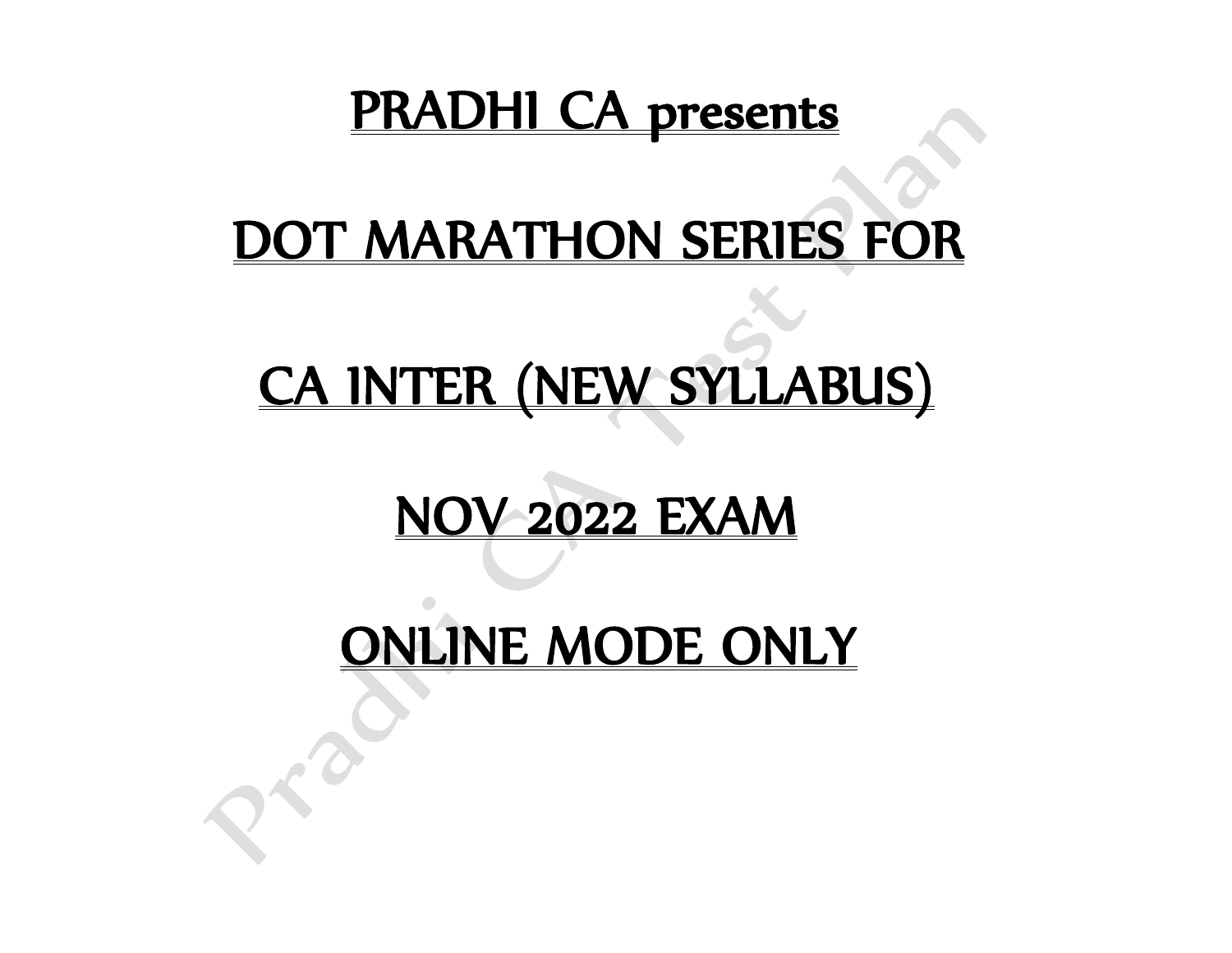### PRADHI CA presents

## DOT MARATHON SERIES FOR

# CA INTER (NEW SYLLABUS)

## NOV 2022 EXAM

### ONLINE MODE ONLY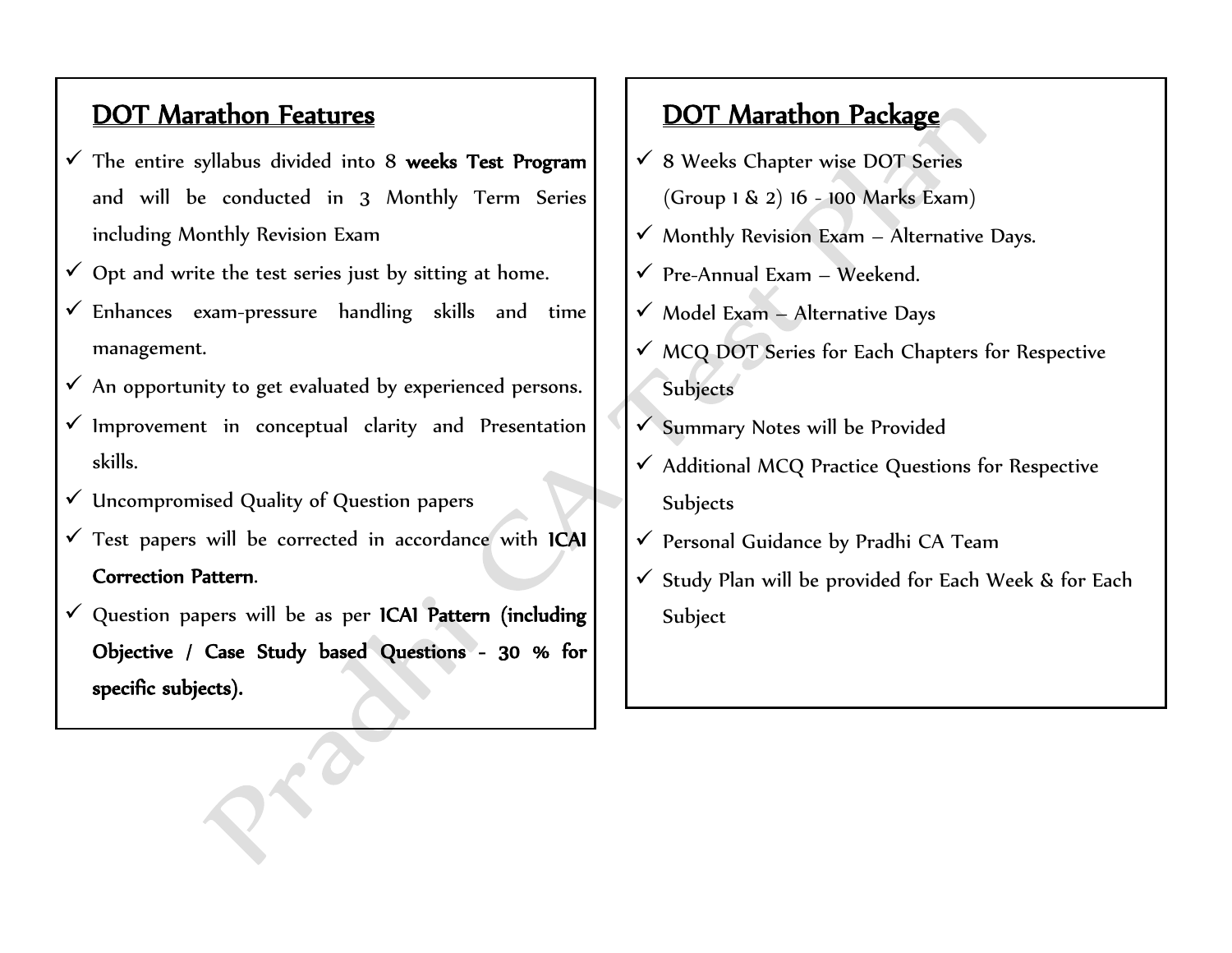#### DOT Marathon Features

- $\checkmark$  The entire syllabus divided into 8 weeks Test Program and will be conducted in 3 Monthly Term Series including Monthly Revision Exam
- $\checkmark$  Opt and write the test series just by sitting at home.
- $\checkmark$  Enhances exam-pressure handling skills and time management.
- $\checkmark$  An opportunity to get evaluated by experienced persons.
- ✓ Improvement in conceptual clarity and Presentation skills.
- ✓ Uncompromised Quality of Question papers
- ✓ Test papers will be corrected in accordance with ICAI Correction Pattern.
- ✓ Question papers will be as per ICAI Pattern (including Objective / Case Study based Questions - 30 % for specific subjects).

#### DOT Marathon Package

- $\checkmark$  8 Weeks Chapter wise DOT Series (Group 1 & 2) 16 - 100 Marks Exam)
- $\checkmark$  Monthly Revision Exam Alternative Days.
- $\checkmark$  Pre-Annual Exam Weekend.
- $\checkmark$  Model Exam Alternative Days
- ✓ MCQ DOT Series for Each Chapters for Respective Subjects
- ✓ Summary Notes will be Provided
- $\checkmark$  Additional MCQ Practice Questions for Respective Subjects
- ✓ Personal Guidance by Pradhi CA Team
- $\checkmark$  Study Plan will be provided for Each Week & for Each Subject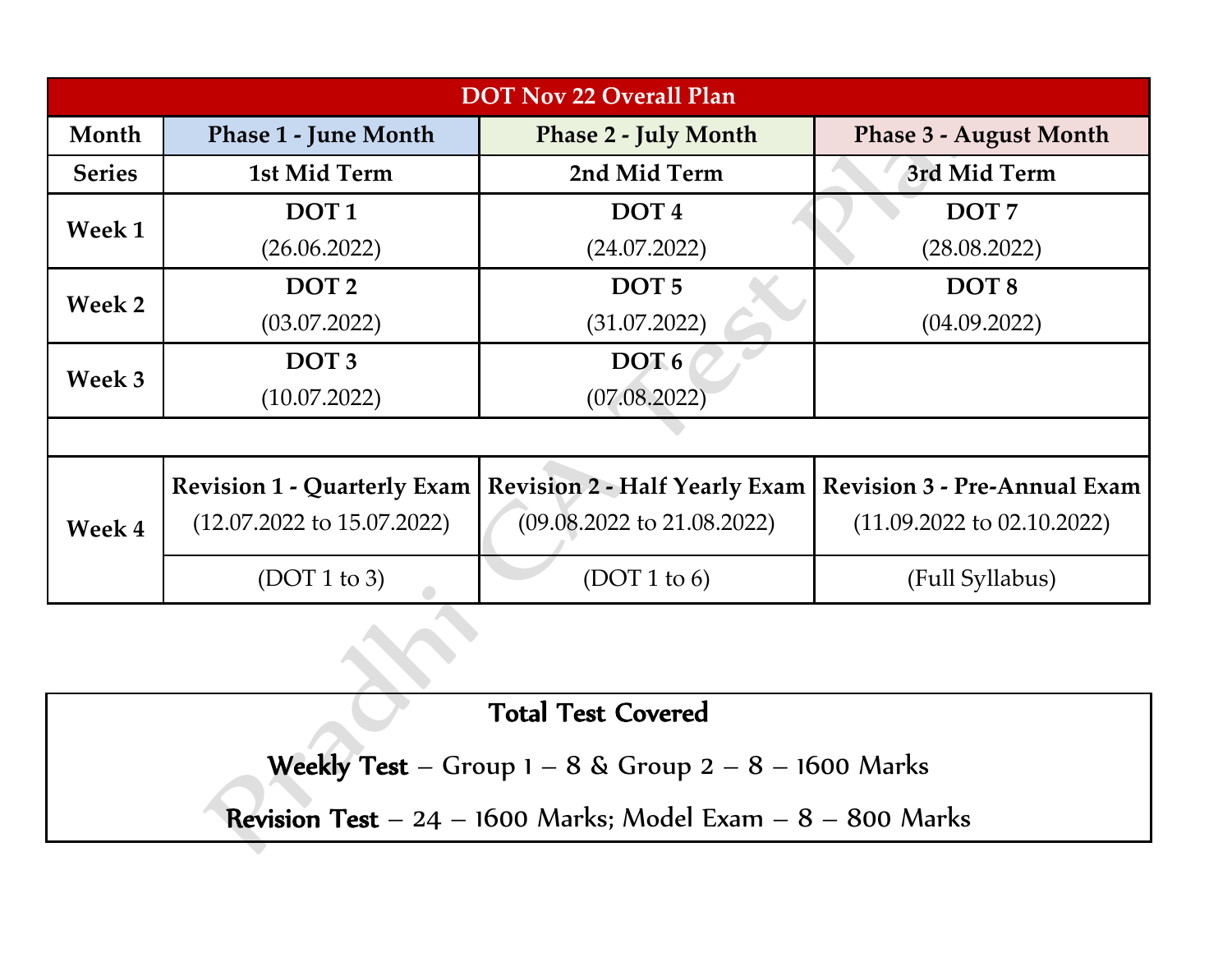| <b>DOT Nov 22 Overall Plan</b> |                                       |                                       |                                       |  |  |  |
|--------------------------------|---------------------------------------|---------------------------------------|---------------------------------------|--|--|--|
| Month                          | <b>Phase 1 - June Month</b>           | <b>Phase 2 - July Month</b>           | <b>Phase 3 - August Month</b>         |  |  |  |
| <b>Series</b>                  | 1st Mid Term                          | 2nd Mid Term                          | 3rd Mid Term                          |  |  |  |
| <b>Week 1</b>                  | DOT <sub>1</sub>                      | DOT <sub>4</sub>                      | DOT <sub>7</sub>                      |  |  |  |
|                                | (26.06.2022)                          | (24.07.2022)                          | (28.08.2022)                          |  |  |  |
| Week 2                         | DOT <sub>2</sub>                      | DOT <sub>5</sub>                      | DOT <sub>8</sub>                      |  |  |  |
|                                | (03.07.2022)                          | (31.07.2022)                          | (04.09.2022)                          |  |  |  |
| Week 3                         | DOT <sub>3</sub>                      | DOT <sub>6</sub>                      |                                       |  |  |  |
|                                | (10.07.2022)                          | (07.08.2022)                          |                                       |  |  |  |
|                                |                                       |                                       |                                       |  |  |  |
|                                | <b>Revision 1 - Quarterly Exam</b>    | <b>Revision 2 - Half Yearly Exam</b>  | <b>Revision 3 - Pre-Annual Exam</b>   |  |  |  |
| <b>Week 4</b>                  | $(12.07.2022 \text{ to } 15.07.2022)$ | $(09.08.2022 \text{ to } 21.08.2022)$ | $(11.09.2022 \text{ to } 02.10.2022)$ |  |  |  |
|                                | (DOT 1 to 3)                          | (DOT 1 to 6)                          | (Full Syllabus)                       |  |  |  |

Total Test Covered

Weekly Test – Group  $1 - 8$  & Group  $2 - 8 - 1600$  Marks

Revision Test –  $24 - 1600$  Marks; Model Exam –  $8 - 800$  Marks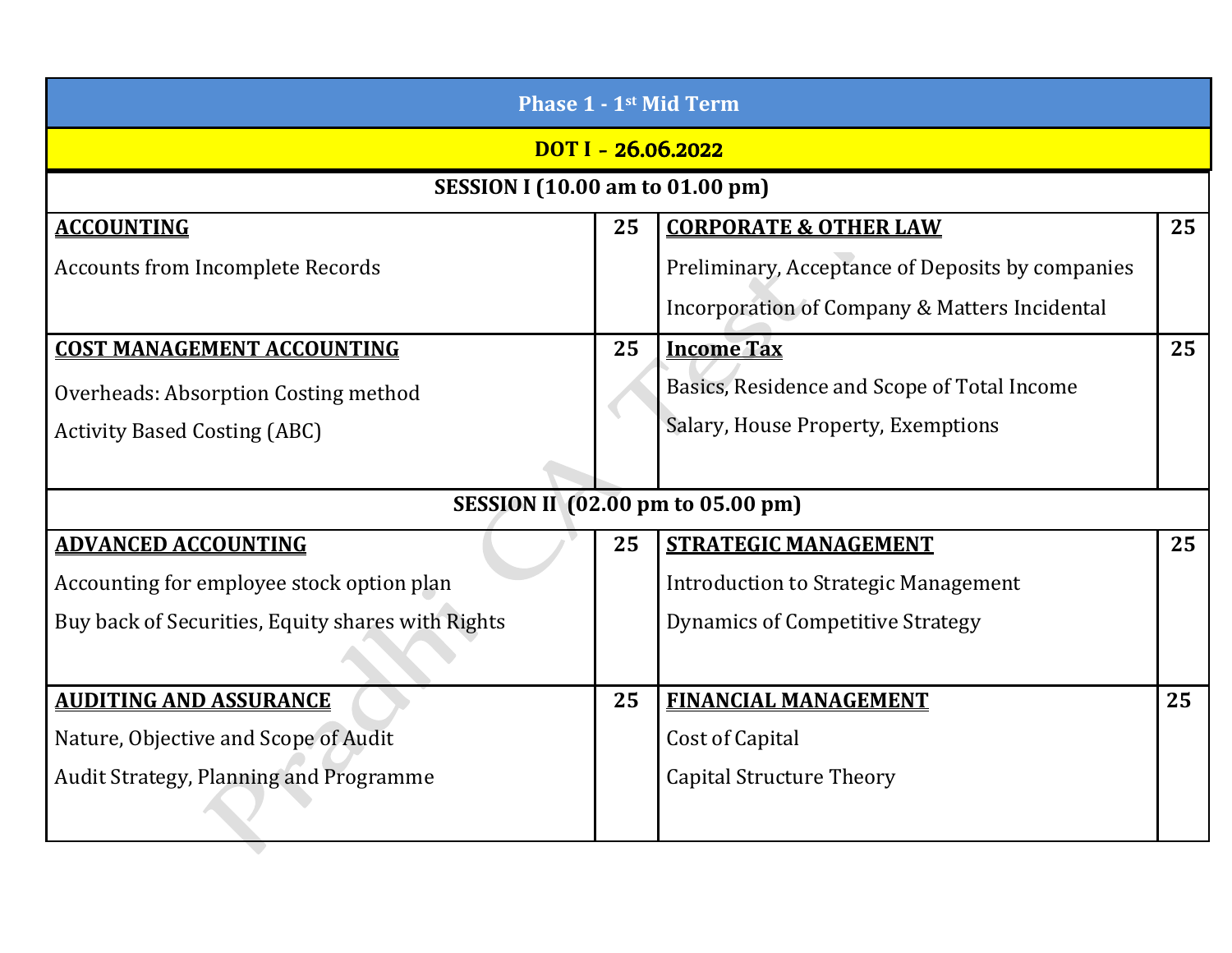| <b>Phase 1 - 1st Mid Term</b>                     |                    |                                                  |    |  |  |
|---------------------------------------------------|--------------------|--------------------------------------------------|----|--|--|
|                                                   | DOT I - 26.06.2022 |                                                  |    |  |  |
| <b>SESSION I (10.00 am to 01.00 pm)</b>           |                    |                                                  |    |  |  |
| <b>ACCOUNTING</b>                                 | 25                 | <b>CORPORATE &amp; OTHER LAW</b>                 | 25 |  |  |
| <b>Accounts from Incomplete Records</b>           |                    | Preliminary, Acceptance of Deposits by companies |    |  |  |
|                                                   |                    | Incorporation of Company & Matters Incidental    |    |  |  |
| <b>COST MANAGEMENT ACCOUNTING</b>                 | 25                 | <b>Income Tax</b>                                | 25 |  |  |
| Overheads: Absorption Costing method              |                    | Basics, Residence and Scope of Total Income      |    |  |  |
| <b>Activity Based Costing (ABC)</b>               |                    | Salary, House Property, Exemptions               |    |  |  |
|                                                   |                    |                                                  |    |  |  |
|                                                   |                    | SESSION II (02.00 pm to 05.00 pm)                |    |  |  |
| <b>ADVANCED ACCOUNTING</b>                        | 25                 | <b>STRATEGIC MANAGEMENT</b>                      | 25 |  |  |
| Accounting for employee stock option plan         |                    | <b>Introduction to Strategic Management</b>      |    |  |  |
| Buy back of Securities, Equity shares with Rights |                    | <b>Dynamics of Competitive Strategy</b>          |    |  |  |
|                                                   |                    |                                                  |    |  |  |
| <b>AUDITING AND ASSURANCE</b>                     | 25                 | <b>FINANCIAL MANAGEMENT</b>                      | 25 |  |  |
| Nature, Objective and Scope of Audit              |                    | Cost of Capital                                  |    |  |  |
| Audit Strategy, Planning and Programme            |                    | <b>Capital Structure Theory</b>                  |    |  |  |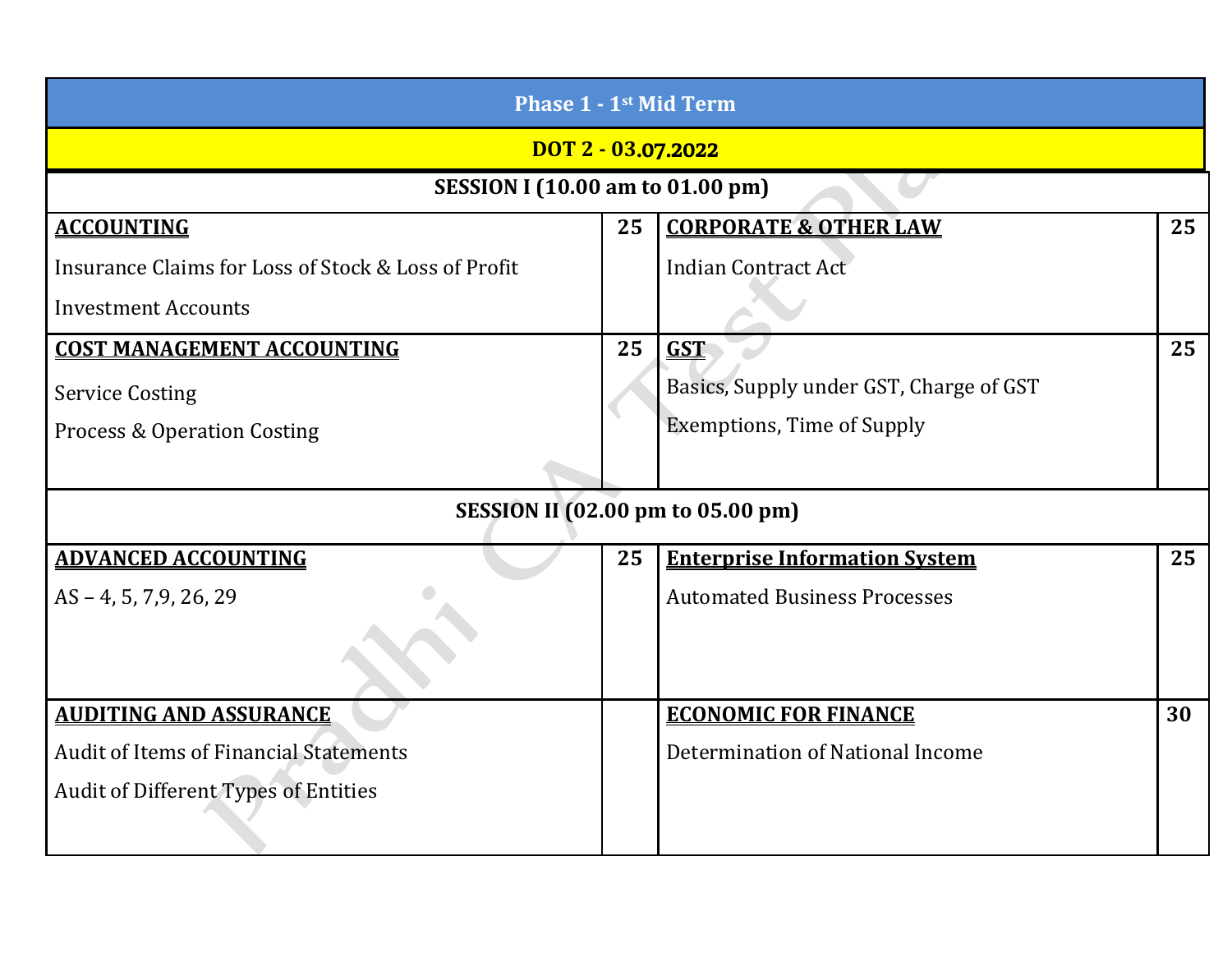| <b>Phase 1 - 1st Mid Term</b>                       |    |                                         |    |  |  |
|-----------------------------------------------------|----|-----------------------------------------|----|--|--|
| DOT 2 - 03.07.2022                                  |    |                                         |    |  |  |
| <b>SESSION I (10.00 am to 01.00 pm)</b>             |    |                                         |    |  |  |
| <b>ACCOUNTING</b>                                   | 25 | <b>CORPORATE &amp; OTHER LAW</b>        | 25 |  |  |
| Insurance Claims for Loss of Stock & Loss of Profit |    | <b>Indian Contract Act</b>              |    |  |  |
| <b>Investment Accounts</b>                          |    |                                         |    |  |  |
| <b>COST MANAGEMENT ACCOUNTING</b>                   | 25 | <b>GST</b>                              | 25 |  |  |
| <b>Service Costing</b>                              |    | Basics, Supply under GST, Charge of GST |    |  |  |
| <b>Process &amp; Operation Costing</b>              |    | <b>Exemptions, Time of Supply</b>       |    |  |  |
|                                                     |    |                                         |    |  |  |
| <b>SESSION II (02.00 pm to 05.00 pm)</b>            |    |                                         |    |  |  |
| <b>ADVANCED ACCOUNTING</b>                          | 25 | <b>Enterprise Information System</b>    | 25 |  |  |
| $AS - 4, 5, 7, 9, 26, 29$                           |    | <b>Automated Business Processes</b>     |    |  |  |
|                                                     |    |                                         |    |  |  |
| <b>AUDITING AND ASSURANCE</b>                       |    | <b>ECONOMIC FOR FINANCE</b>             | 30 |  |  |
| <b>Audit of Items of Financial Statements</b>       |    | Determination of National Income        |    |  |  |
| <b>Audit of Different Types of Entities</b>         |    |                                         |    |  |  |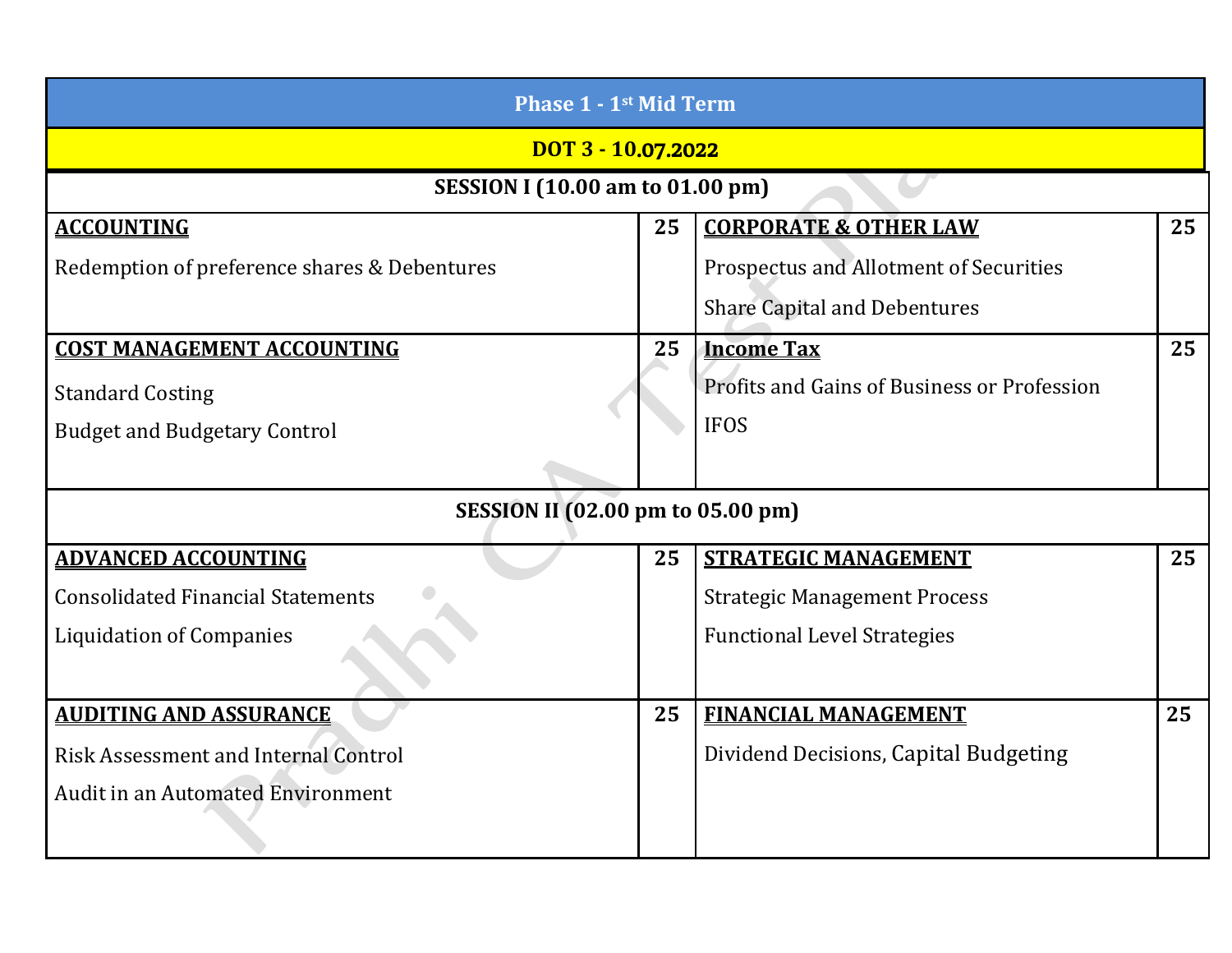| <b>Phase 1 - 1st Mid Term</b>                |    |                                             |    |  |
|----------------------------------------------|----|---------------------------------------------|----|--|
| DOT 3 - 10.07.2022                           |    |                                             |    |  |
| <b>SESSION I (10.00 am to 01.00 pm)</b>      |    |                                             |    |  |
| <b>ACCOUNTING</b>                            | 25 | <b>CORPORATE &amp; OTHER LAW</b>            | 25 |  |
| Redemption of preference shares & Debentures |    | Prospectus and Allotment of Securities      |    |  |
|                                              |    | <b>Share Capital and Debentures</b>         |    |  |
| <b>COST MANAGEMENT ACCOUNTING</b>            | 25 | <b>Income Tax</b>                           | 25 |  |
| <b>Standard Costing</b>                      |    | Profits and Gains of Business or Profession |    |  |
| <b>Budget and Budgetary Control</b>          |    | <b>IFOS</b>                                 |    |  |
|                                              |    |                                             |    |  |
| <b>SESSION II (02.00 pm to 05.00 pm)</b>     |    |                                             |    |  |
| <b>ADVANCED ACCOUNTING</b>                   | 25 | <b>STRATEGIC MANAGEMENT</b>                 | 25 |  |
| <b>Consolidated Financial Statements</b>     |    | <b>Strategic Management Process</b>         |    |  |
| <b>Liquidation of Companies</b>              |    | <b>Functional Level Strategies</b>          |    |  |
|                                              |    |                                             |    |  |
| <b>AUDITING AND ASSURANCE</b>                | 25 | <b>FINANCIAL MANAGEMENT</b>                 | 25 |  |
| <b>Risk Assessment and Internal Control</b>  |    | Dividend Decisions, Capital Budgeting       |    |  |
| <b>Audit in an Automated Environment</b>     |    |                                             |    |  |
|                                              |    |                                             |    |  |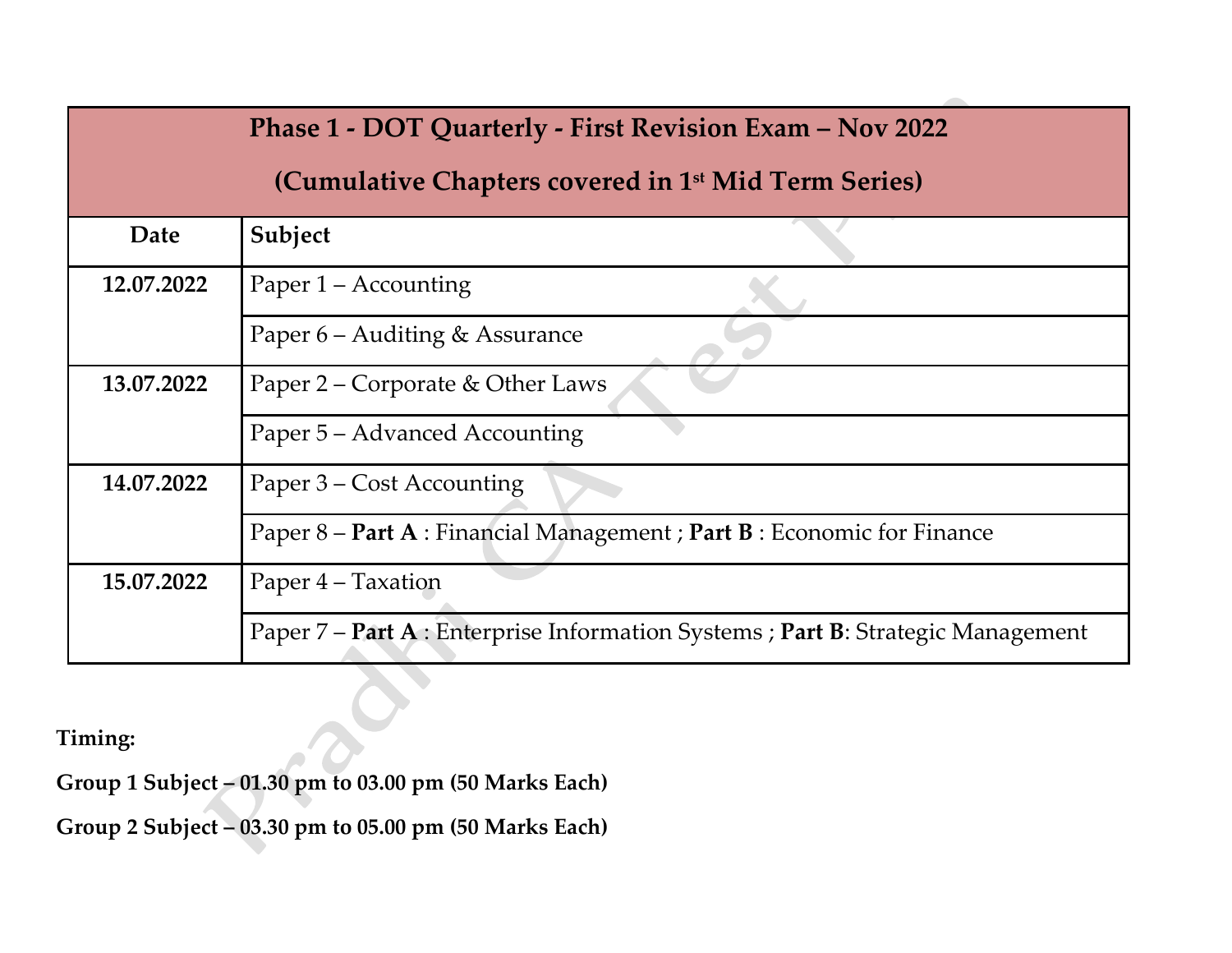|                                  | <b>Phase 1 - DOT Quarterly - First Revision Exam - Nov 2022</b>                  |  |  |
|----------------------------------|----------------------------------------------------------------------------------|--|--|
|                                  | (Cumulative Chapters covered in 1 <sup>st</sup> Mid Term Series)                 |  |  |
| Date                             | Subject                                                                          |  |  |
| 12.07.2022                       | Paper 1 – Accounting                                                             |  |  |
|                                  | Paper 6 – Auditing & Assurance                                                   |  |  |
| 13.07.2022                       | Paper 2 – Corporate & Other Laws                                                 |  |  |
|                                  | Paper 5 – Advanced Accounting                                                    |  |  |
| 14.07.2022                       | Paper 3 – Cost Accounting                                                        |  |  |
|                                  | Paper 8 – Part A : Financial Management ; Part B : Economic for Finance          |  |  |
| 15.07.2022<br>Paper 4 - Taxation |                                                                                  |  |  |
|                                  | Paper 7 – Part A : Enterprise Information Systems ; Part B: Strategic Management |  |  |
| <b>Fiming:</b>                   |                                                                                  |  |  |

**Timing:** 

**Group 1 Subject – 01.30 pm to 03.00 pm (50 Marks Each)**

**Group 2 Subject – 03.30 pm to 05.00 pm (50 Marks Each)**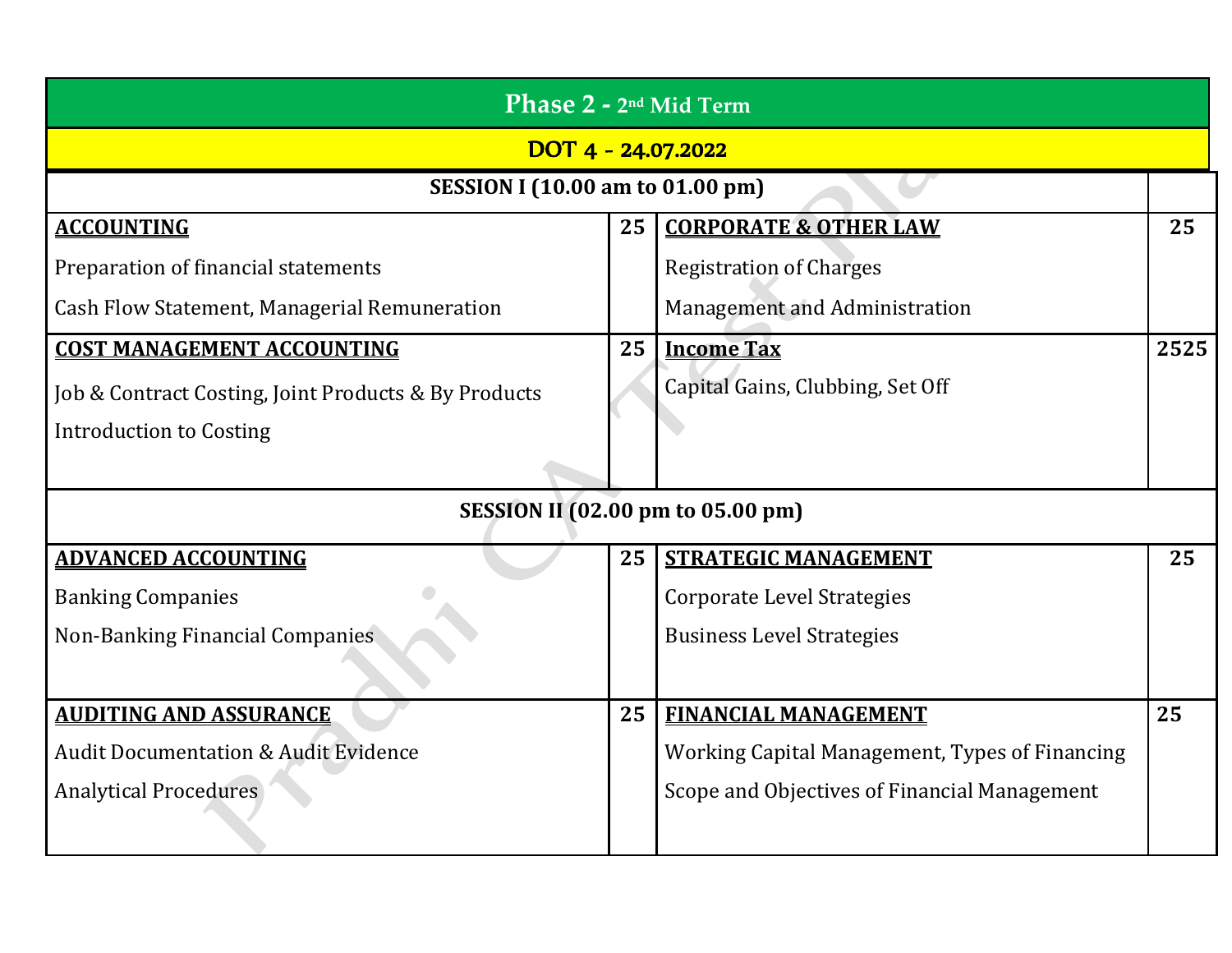| Phase 2 - 2 <sup>nd</sup> Mid Term                   |    |                                                |      |  |  |
|------------------------------------------------------|----|------------------------------------------------|------|--|--|
| $\overline{$ DOT 4 - 24.07.2022                      |    |                                                |      |  |  |
| <b>SESSION I (10.00 am to 01.00 pm)</b>              |    |                                                |      |  |  |
| <b>ACCOUNTING</b>                                    | 25 | <b>CORPORATE &amp; OTHER LAW</b>               | 25   |  |  |
| Preparation of financial statements                  |    | <b>Registration of Charges</b>                 |      |  |  |
| Cash Flow Statement, Managerial Remuneration         |    | Management and Administration                  |      |  |  |
| <b>COST MANAGEMENT ACCOUNTING</b>                    | 25 | <b>Income Tax</b>                              | 2525 |  |  |
| Job & Contract Costing, Joint Products & By Products |    | Capital Gains, Clubbing, Set Off               |      |  |  |
| <b>Introduction to Costing</b>                       |    |                                                |      |  |  |
|                                                      |    |                                                |      |  |  |
|                                                      |    | <b>SESSION II (02.00 pm to 05.00 pm)</b>       |      |  |  |
| <b>ADVANCED ACCOUNTING</b>                           | 25 | <b>STRATEGIC MANAGEMENT</b>                    | 25   |  |  |
| <b>Banking Companies</b>                             |    | <b>Corporate Level Strategies</b>              |      |  |  |
| Non-Banking Financial Companies                      |    | <b>Business Level Strategies</b>               |      |  |  |
|                                                      |    |                                                |      |  |  |
| <b>AUDITING AND ASSURANCE</b>                        | 25 | <b>FINANCIAL MANAGEMENT</b>                    | 25   |  |  |
| <b>Audit Documentation &amp; Audit Evidence</b>      |    | Working Capital Management, Types of Financing |      |  |  |
| <b>Analytical Procedures</b>                         |    | Scope and Objectives of Financial Management   |      |  |  |
|                                                      |    |                                                |      |  |  |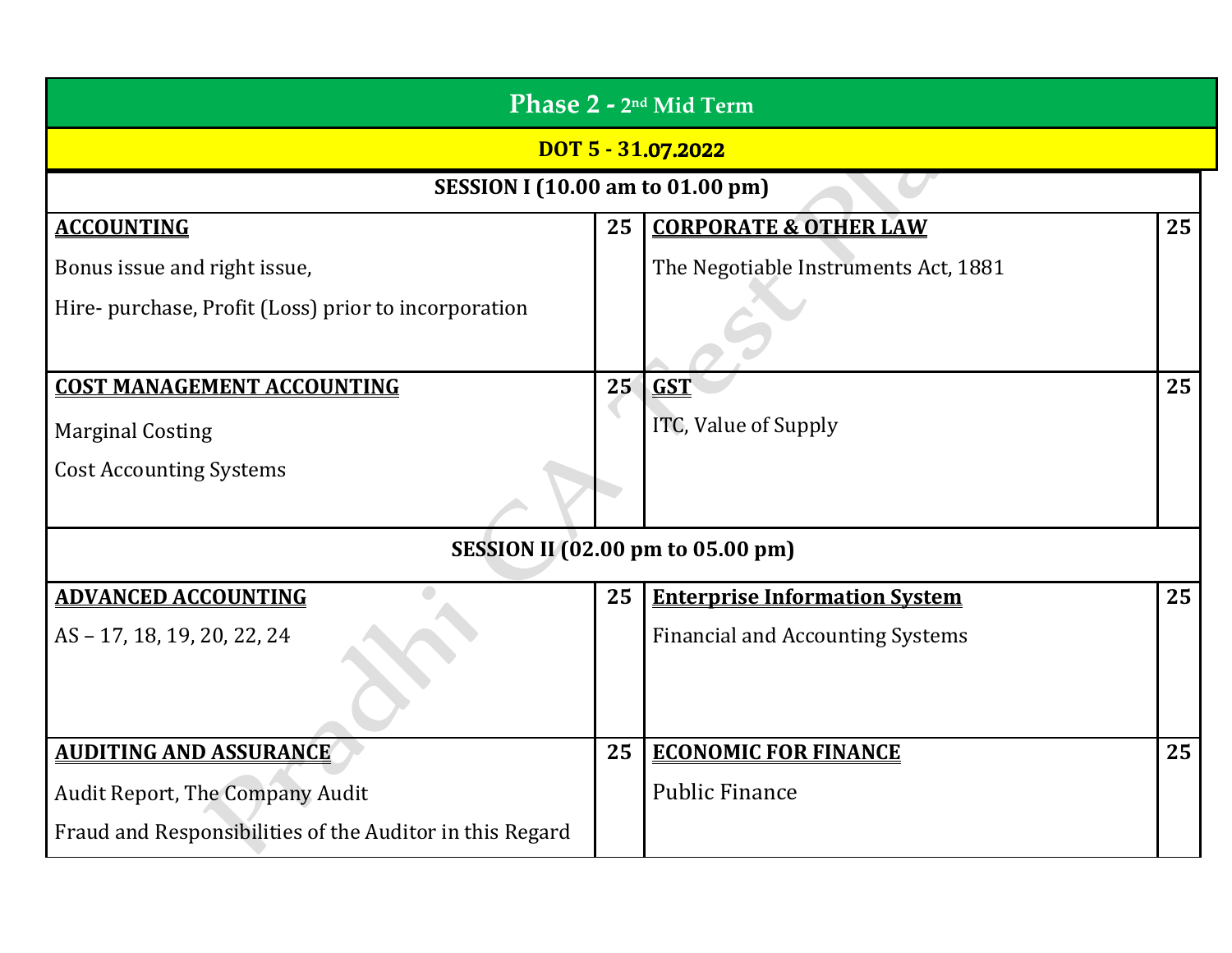| Phase 2 - 2 <sup>nd</sup> Mid Term                       |    |                                          |    |
|----------------------------------------------------------|----|------------------------------------------|----|
|                                                          |    | DOT 5 - 31.07.2022                       |    |
| <b>SESSION I (10.00 am to 01.00 pm)</b>                  |    |                                          |    |
| <b>ACCOUNTING</b>                                        | 25 | <b>CORPORATE &amp; OTHER LAW</b>         | 25 |
| Bonus issue and right issue,                             |    | The Negotiable Instruments Act, 1881     |    |
| Hire- purchase, Profit (Loss) prior to incorporation     |    |                                          |    |
| <b>COST MANAGEMENT ACCOUNTING</b>                        | 25 | <b>GST</b>                               | 25 |
| <b>Marginal Costing</b>                                  |    | ITC, Value of Supply                     |    |
| <b>Cost Accounting Systems</b>                           |    |                                          |    |
|                                                          |    | <b>SESSION II (02.00 pm to 05.00 pm)</b> |    |
| <b>ADVANCED ACCOUNTING</b>                               | 25 | <b>Enterprise Information System</b>     | 25 |
| AS-17, 18, 19, 20, 22, 24                                |    | <b>Financial and Accounting Systems</b>  |    |
|                                                          |    |                                          |    |
| <b>AUDITING AND ASSURANCE</b>                            | 25 | <b>ECONOMIC FOR FINANCE</b>              | 25 |
| Audit Report, The Company Audit                          |    | <b>Public Finance</b>                    |    |
| Fraud and Responsibilities of the Auditor in this Regard |    |                                          |    |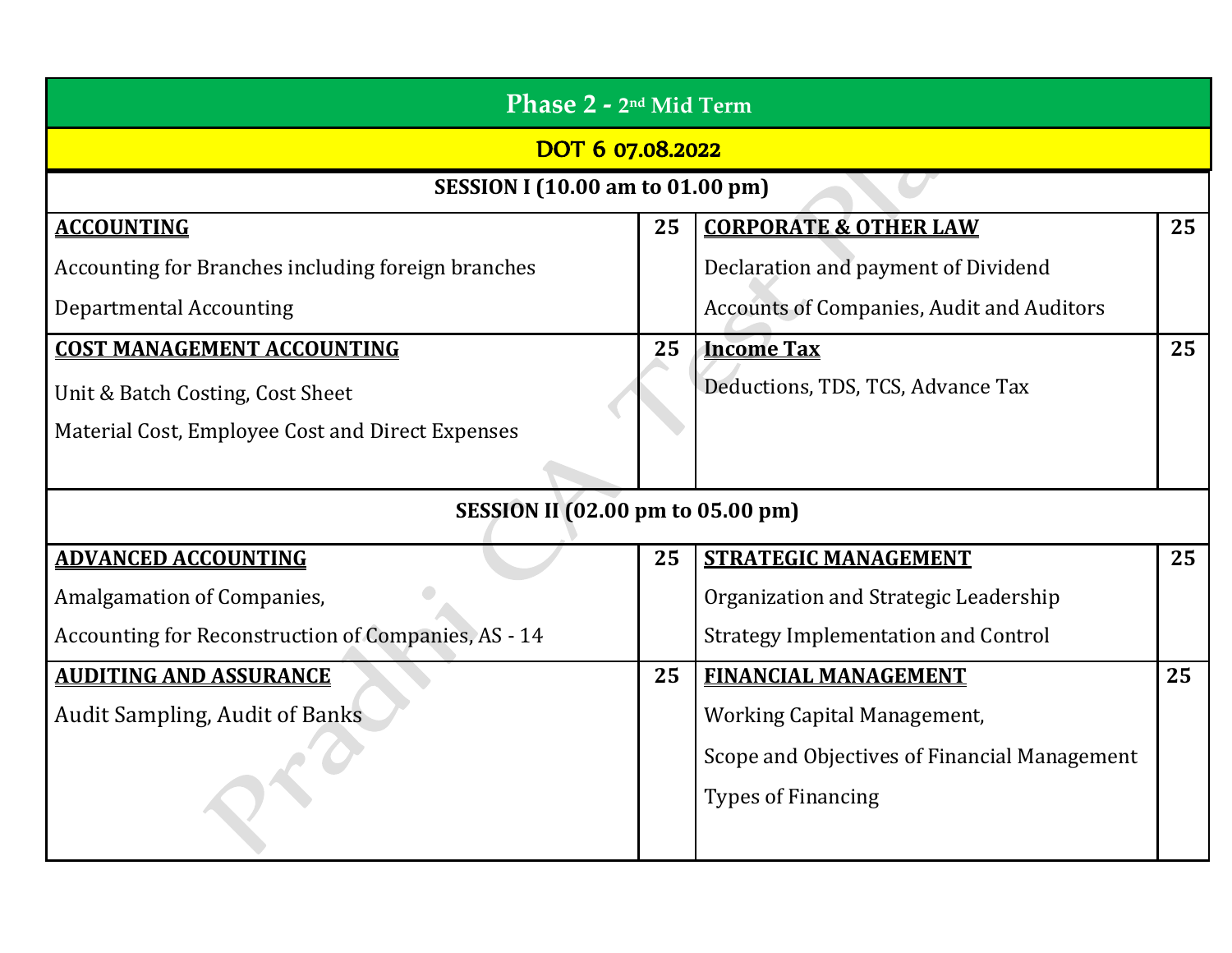| Phase 2 - 2 <sup>nd</sup> Mid Term                  |    |                                                  |    |  |
|-----------------------------------------------------|----|--------------------------------------------------|----|--|
| DOT 6 07.08.2022                                    |    |                                                  |    |  |
| <b>SESSION I (10.00 am to 01.00 pm)</b>             |    |                                                  |    |  |
| <b>ACCOUNTING</b>                                   | 25 | <b>CORPORATE &amp; OTHER LAW</b>                 | 25 |  |
| Accounting for Branches including foreign branches  |    | Declaration and payment of Dividend              |    |  |
| <b>Departmental Accounting</b>                      |    | <b>Accounts of Companies, Audit and Auditors</b> |    |  |
| <b>COST MANAGEMENT ACCOUNTING</b>                   | 25 | <b>Income Tax</b>                                | 25 |  |
| Unit & Batch Costing, Cost Sheet                    |    | Deductions, TDS, TCS, Advance Tax                |    |  |
| Material Cost, Employee Cost and Direct Expenses    |    |                                                  |    |  |
|                                                     |    |                                                  |    |  |
| <b>SESSION II (02.00 pm to 05.00 pm)</b>            |    |                                                  |    |  |
| <b>ADVANCED ACCOUNTING</b>                          | 25 | <b>STRATEGIC MANAGEMENT</b>                      | 25 |  |
| Amalgamation of Companies,                          |    | Organization and Strategic Leadership            |    |  |
| Accounting for Reconstruction of Companies, AS - 14 |    | <b>Strategy Implementation and Control</b>       |    |  |
| <b>AUDITING AND ASSURANCE</b>                       | 25 | <b>FINANCIAL MANAGEMENT</b>                      | 25 |  |
| <b>Audit Sampling, Audit of Banks</b>               |    | <b>Working Capital Management,</b>               |    |  |
|                                                     |    | Scope and Objectives of Financial Management     |    |  |
|                                                     |    | <b>Types of Financing</b>                        |    |  |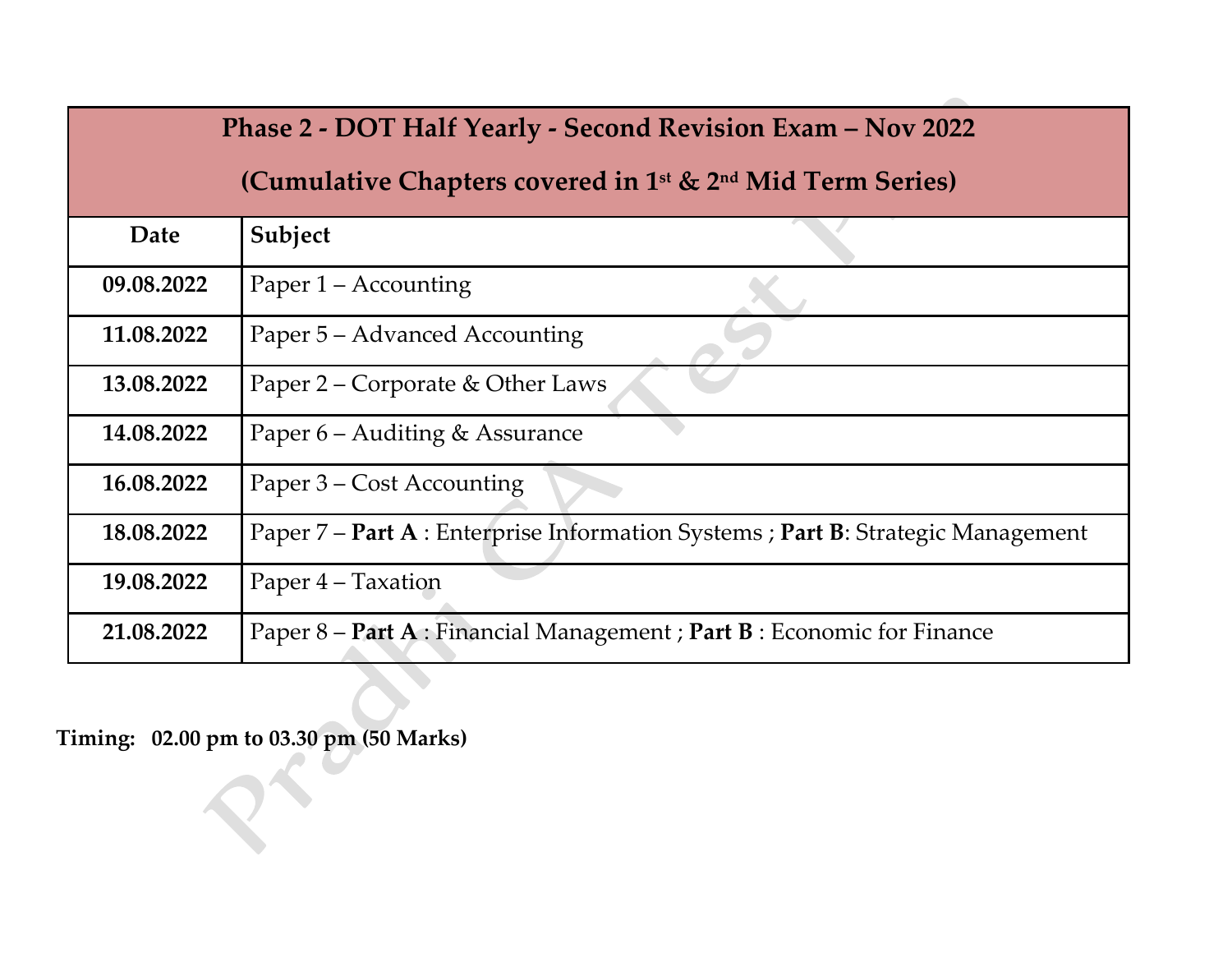|            | Phase 2 - DOT Half Yearly - Second Revision Exam - Nov 2022                        |  |  |
|------------|------------------------------------------------------------------------------------|--|--|
|            | (Cumulative Chapters covered in 1 <sup>st</sup> & 2 <sup>nd</sup> Mid Term Series) |  |  |
| Date       | Subject                                                                            |  |  |
| 09.08.2022 | Paper 1 – Accounting                                                               |  |  |
| 11.08.2022 | Paper 5 – Advanced Accounting                                                      |  |  |
| 13.08.2022 | Paper 2 – Corporate & Other Laws                                                   |  |  |
| 14.08.2022 | Paper 6 – Auditing & Assurance                                                     |  |  |
| 16.08.2022 | Paper 3 – Cost Accounting                                                          |  |  |
| 18.08.2022 | Paper 7 - Part A : Enterprise Information Systems ; Part B: Strategic Management   |  |  |
| 19.08.2022 | Paper 4 – Taxation                                                                 |  |  |
| 21.08.2022 | Paper 8 – Part A : Financial Management ; Part B : Economic for Finance            |  |  |

**Timing: 02.00 pm to 03.30 pm (50 Marks)**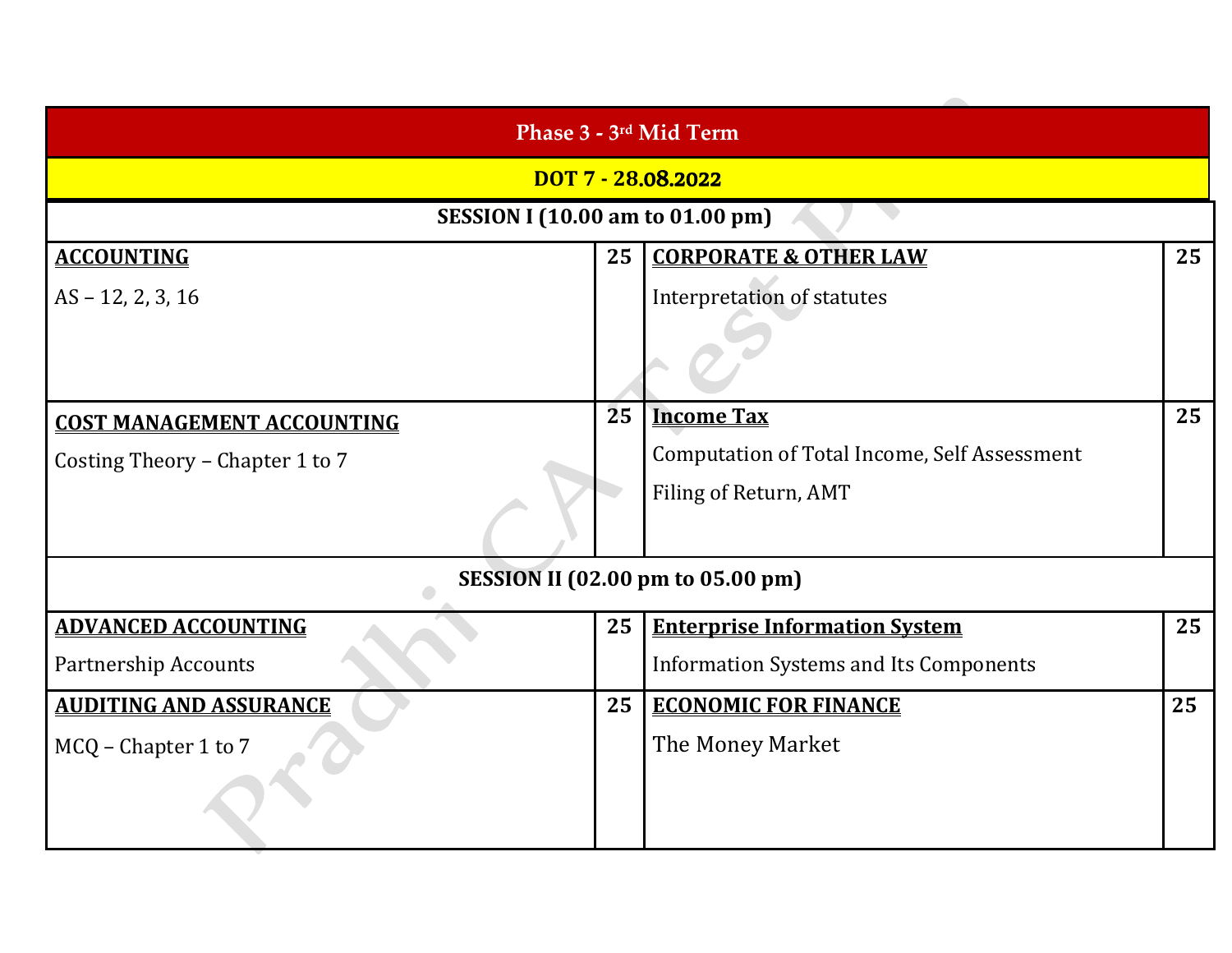| Phase 3 - 3 <sup>rd</sup> Mid Term      |    |                                                     |    |
|-----------------------------------------|----|-----------------------------------------------------|----|
|                                         |    | DOT 7 - 28.08.2022                                  |    |
| <b>SESSION I (10.00 am to 01.00 pm)</b> |    |                                                     |    |
| <b>ACCOUNTING</b>                       | 25 | <b>CORPORATE &amp; OTHER LAW</b>                    | 25 |
| $AS - 12, 2, 3, 16$                     |    | <b>Interpretation of statutes</b>                   |    |
|                                         |    |                                                     |    |
| <b>COST MANAGEMENT ACCOUNTING</b>       | 25 | <b>Income Tax</b>                                   | 25 |
| Costing Theory – Chapter 1 to 7         |    | <b>Computation of Total Income, Self Assessment</b> |    |
|                                         |    | Filing of Return, AMT                               |    |
|                                         |    | <b>SESSION II (02.00 pm to 05.00 pm)</b>            |    |
| <b>ADVANCED ACCOUNTING</b>              | 25 | <b>Enterprise Information System</b>                | 25 |
| <b>Partnership Accounts</b>             |    | <b>Information Systems and Its Components</b>       |    |
| <b>AUDITING AND ASSURANCE</b>           | 25 | <b>ECONOMIC FOR FINANCE</b>                         | 25 |
| MCQ - Chapter 1 to 7                    |    | The Money Market                                    |    |
|                                         |    |                                                     |    |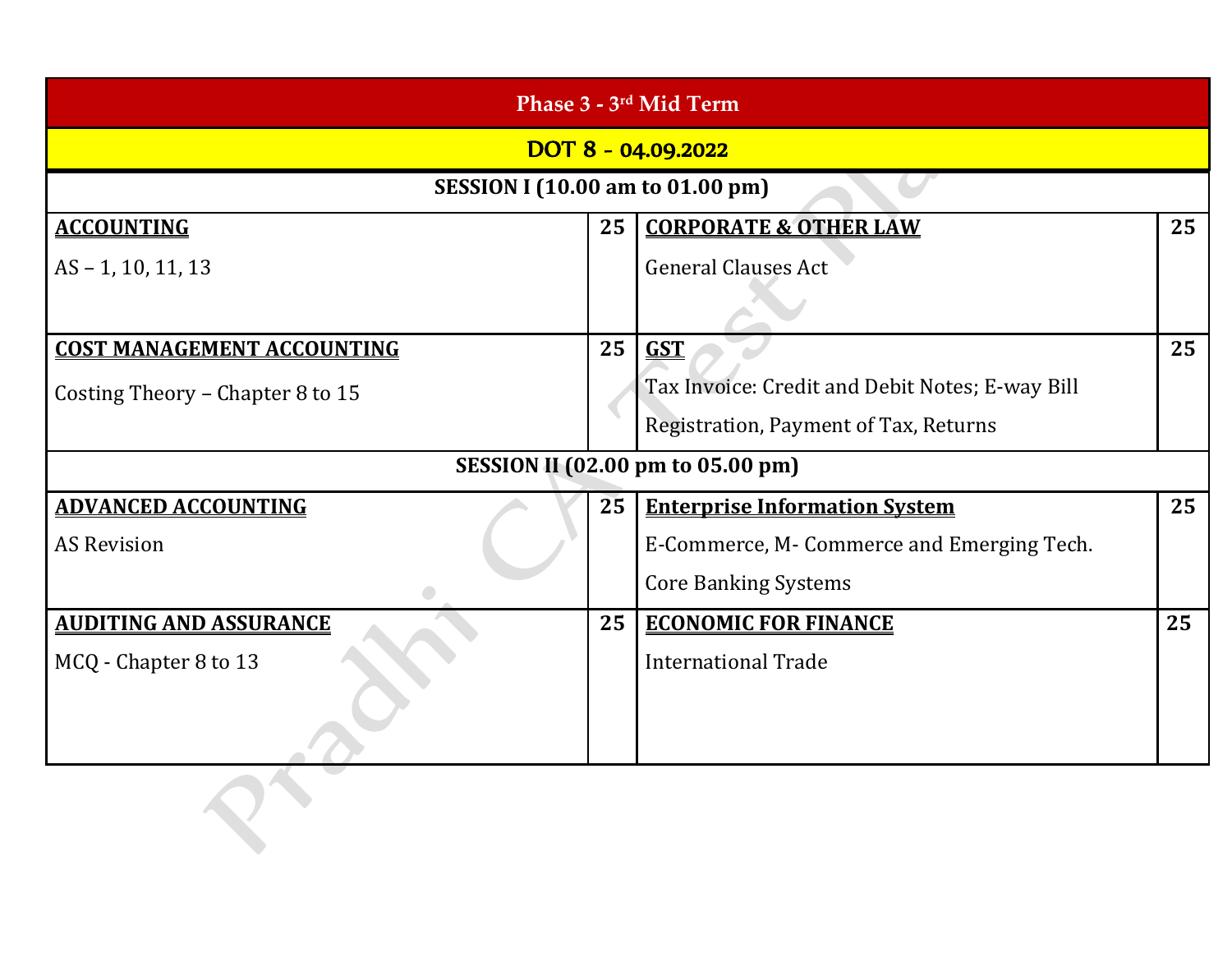| Phase 3 - 3rd Mid Term                  |    |                                                 |    |  |
|-----------------------------------------|----|-------------------------------------------------|----|--|
| DOT 8 - 04.09.2022                      |    |                                                 |    |  |
| <b>SESSION I (10.00 am to 01.00 pm)</b> |    |                                                 |    |  |
| <b>ACCOUNTING</b>                       | 25 | <b>CORPORATE &amp; OTHER LAW</b>                | 25 |  |
| $AS - 1, 10, 11, 13$                    |    | <b>General Clauses Act</b>                      |    |  |
|                                         |    |                                                 |    |  |
| <b>COST MANAGEMENT ACCOUNTING</b>       | 25 | <b>GST</b>                                      | 25 |  |
| Costing Theory - Chapter 8 to 15        |    | Tax Invoice: Credit and Debit Notes; E-way Bill |    |  |
|                                         |    | Registration, Payment of Tax, Returns           |    |  |
|                                         |    | <b>SESSION II (02.00 pm to 05.00 pm)</b>        |    |  |
| <b>ADVANCED ACCOUNTING</b>              | 25 | <b>Enterprise Information System</b>            | 25 |  |
| <b>AS Revision</b>                      |    | E-Commerce, M-Commerce and Emerging Tech.       |    |  |
|                                         |    | <b>Core Banking Systems</b>                     |    |  |
| <b>AUDITING AND ASSURANCE</b>           | 25 | <b>ECONOMIC FOR FINANCE</b>                     | 25 |  |
| MCQ - Chapter 8 to 13                   |    | <b>International Trade</b>                      |    |  |
|                                         |    |                                                 |    |  |
|                                         |    |                                                 |    |  |
|                                         |    |                                                 |    |  |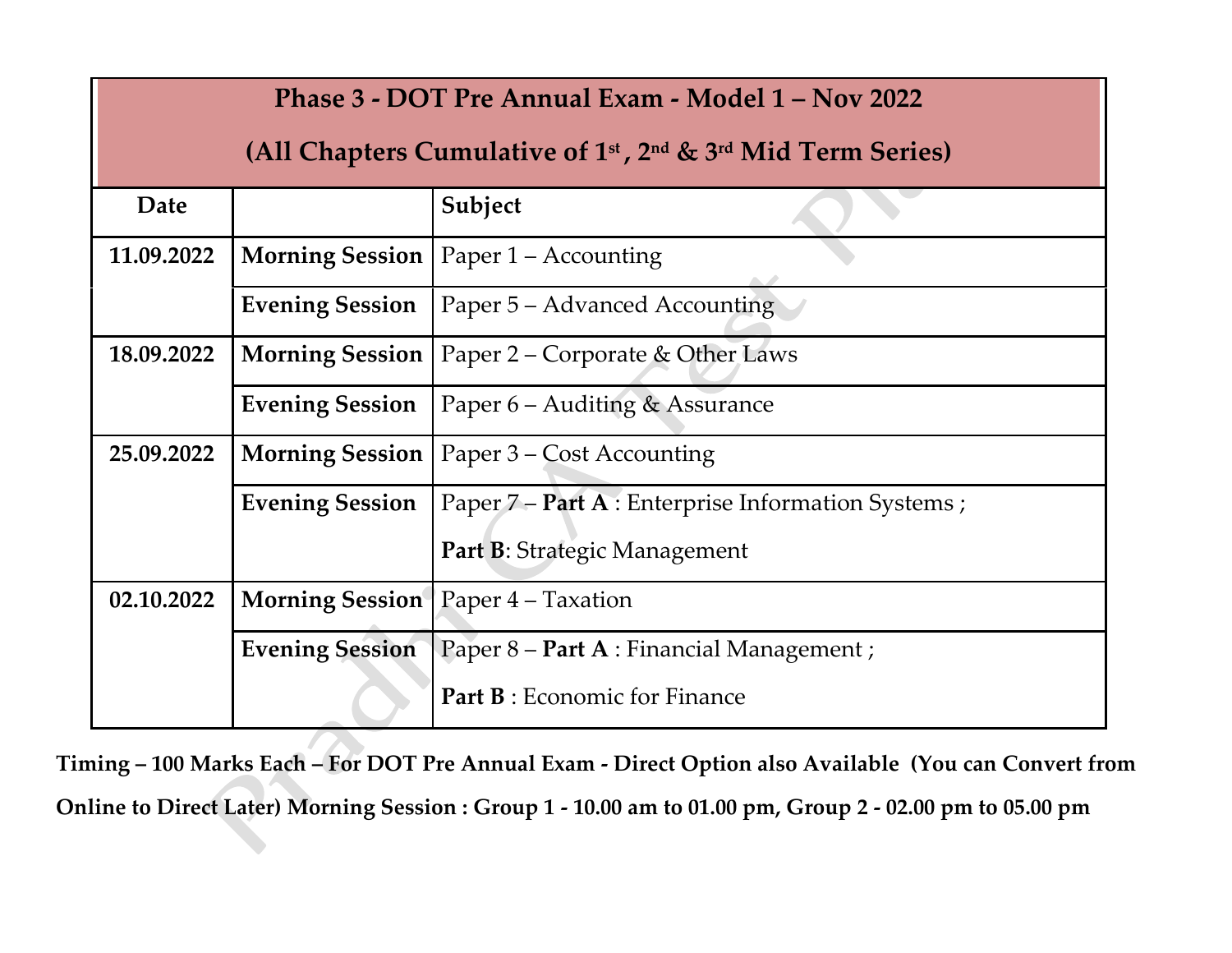|            | Phase 3 - DOT Pre Annual Exam - Model 1 – Nov 2022                 |                                                    |  |  |  |  |
|------------|--------------------------------------------------------------------|----------------------------------------------------|--|--|--|--|
|            | (All Chapters Cumulative of $1st$ , $2nd$ & $3rd$ Mid Term Series) |                                                    |  |  |  |  |
| Date       | Subject                                                            |                                                    |  |  |  |  |
| 11.09.2022 | <b>Morning Session</b>                                             | Paper $1 -$ Accounting                             |  |  |  |  |
|            | <b>Evening Session</b>                                             | Paper 5 - Advanced Accounting                      |  |  |  |  |
| 18.09.2022 | <b>Morning Session</b>                                             | Paper 2 – Corporate & Other Laws                   |  |  |  |  |
|            | <b>Evening Session</b>                                             | Paper 6 – Auditing & Assurance                     |  |  |  |  |
| 25.09.2022 | <b>Morning Session</b><br>Paper 3 – Cost Accounting                |                                                    |  |  |  |  |
|            | <b>Evening Session</b>                                             | Paper 7 – Part A : Enterprise Information Systems; |  |  |  |  |
|            |                                                                    | Part B: Strategic Management                       |  |  |  |  |
| 02.10.2022 | <b>Morning Session</b>                                             | Paper 4 – Taxation                                 |  |  |  |  |
|            | <b>Evening Session</b>                                             | Paper 8 – Part A : Financial Management ;          |  |  |  |  |
|            | <b>Part B:</b> Economic for Finance                                |                                                    |  |  |  |  |

**Timing – 100 Marks Each – For DOT Pre Annual Exam - Direct Option also Available (You can Convert from Online to Direct Later) Morning Session : Group 1 - 10.00 am to 01.00 pm, Group 2 - 02.00 pm to 05.00 pm**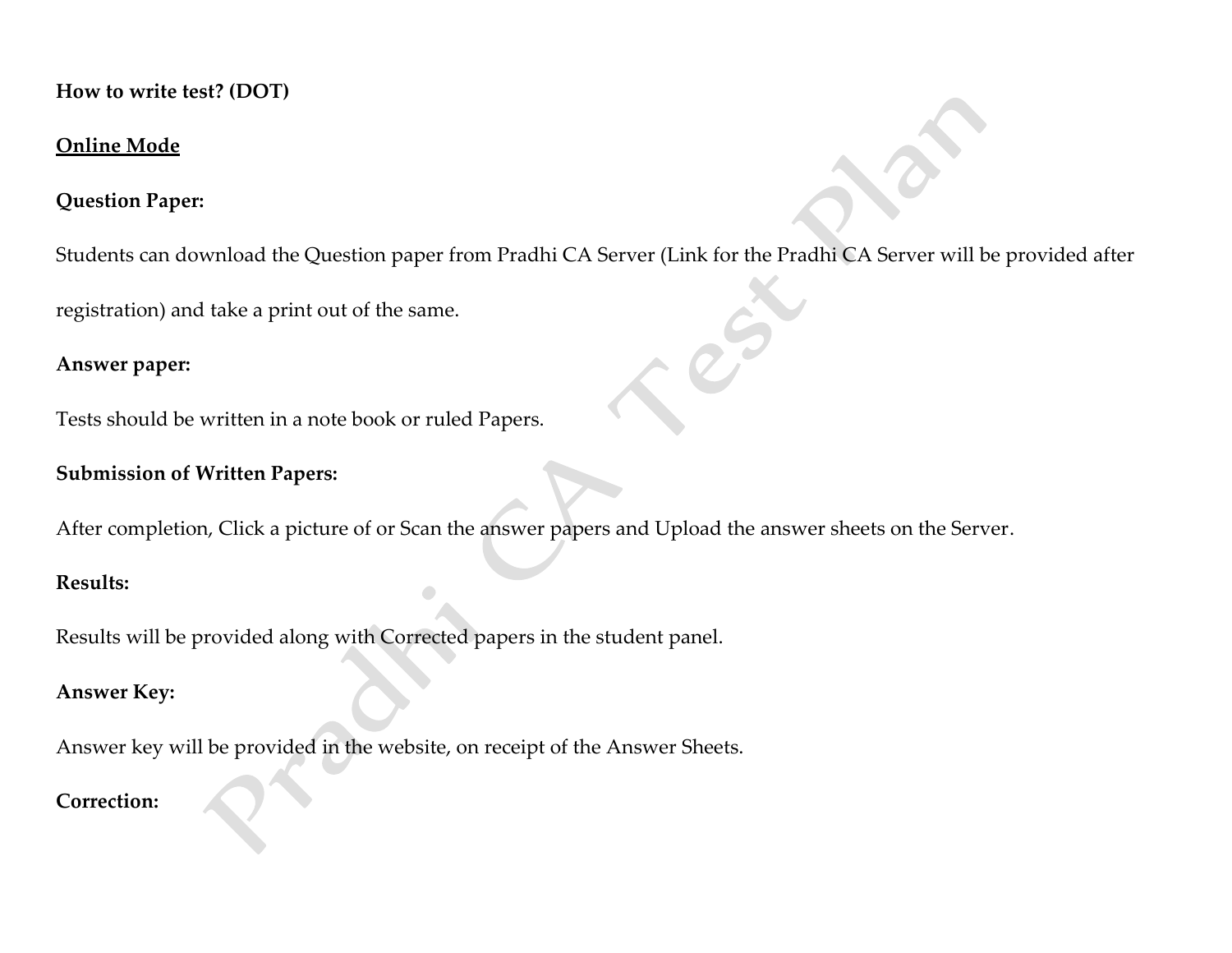**How to write test? (DOT)**

#### **Online Mode**

#### **Question Paper:**

Students can download the Question paper from Pradhi CA Server (Link for the Pradhi CA Server will be provided after

registration) and take a print out of the same.

#### **Answer paper:**

Tests should be written in a note book or ruled Papers.

#### **Submission of Written Papers:**

After completion, Click a picture of or Scan the answer papers and Upload the answer sheets on the Server.

#### **Results:**

Results will be provided along with Corrected papers in the student panel.

#### **Answer Key:**

Answer key will be provided in the website, on receipt of the Answer Sheets.

#### **Correction:**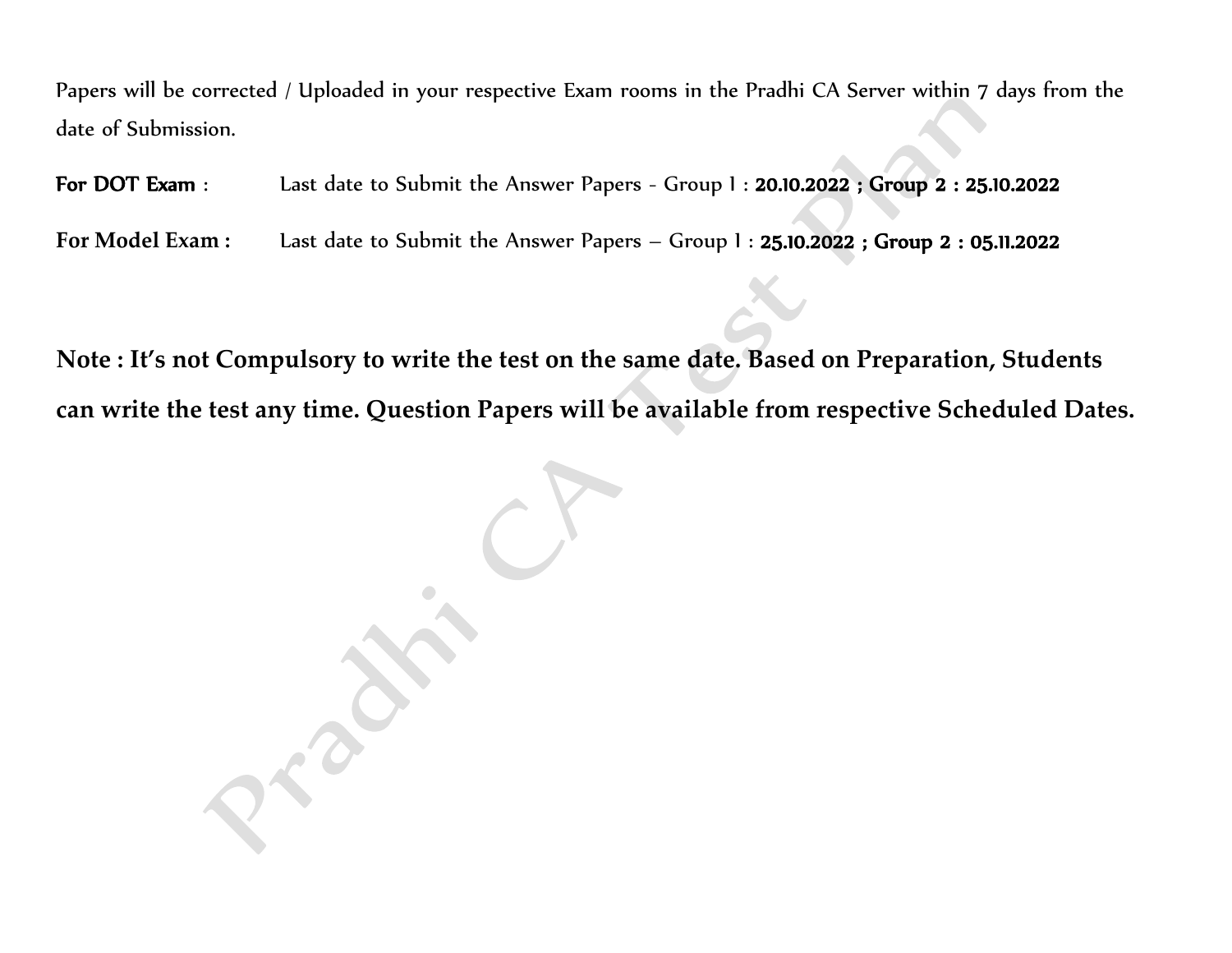Papers will be corrected / Uploaded in your respective Exam rooms in the Pradhi CA Server within 7 days from the date of Submission.

For DOT Exam : Last date to Submit the Answer Papers - Group I : 20.10.2022 ; Group 2 : 25.10.2022

**For Model Exam :** Last date to Submit the Answer Papers – Group I : 25.10.2022 ; Group 2 : 05.11.2022

**Note : It's not Compulsory to write the test on the same date. Based on Preparation, Students can write the test any time. Question Papers will be available from respective Scheduled Dates.**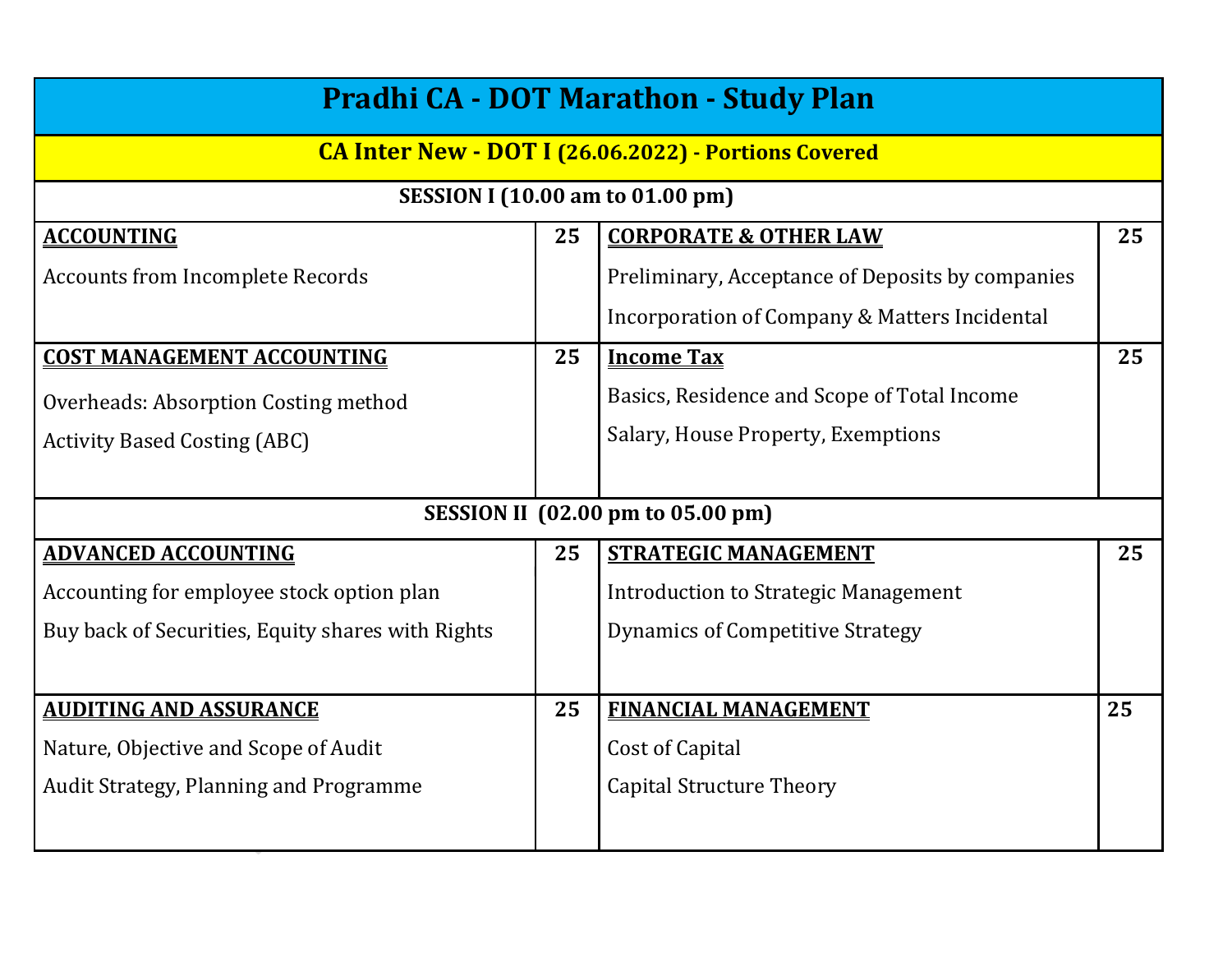| <b>Pradhi CA - DOT Marathon - Study Plan</b>      |    |                                                             |    |  |  |
|---------------------------------------------------|----|-------------------------------------------------------------|----|--|--|
|                                                   |    | <b>CA Inter New - DOT I (26.06.2022) - Portions Covered</b> |    |  |  |
|                                                   |    | <b>SESSION I (10.00 am to 01.00 pm)</b>                     |    |  |  |
| <b>ACCOUNTING</b>                                 | 25 | <b>CORPORATE &amp; OTHER LAW</b>                            | 25 |  |  |
| Accounts from Incomplete Records                  |    | Preliminary, Acceptance of Deposits by companies            |    |  |  |
|                                                   |    | <b>Incorporation of Company &amp; Matters Incidental</b>    |    |  |  |
| <b>COST MANAGEMENT ACCOUNTING</b>                 | 25 | <b>Income Tax</b>                                           | 25 |  |  |
| Overheads: Absorption Costing method              |    | Basics, Residence and Scope of Total Income                 |    |  |  |
| <b>Activity Based Costing (ABC)</b>               |    | Salary, House Property, Exemptions                          |    |  |  |
|                                                   |    |                                                             |    |  |  |
|                                                   |    | <b>SESSION II</b> (02.00 pm to 05.00 pm)                    |    |  |  |
| <b>ADVANCED ACCOUNTING</b>                        | 25 | <b>STRATEGIC MANAGEMENT</b>                                 | 25 |  |  |
| Accounting for employee stock option plan         |    | Introduction to Strategic Management                        |    |  |  |
| Buy back of Securities, Equity shares with Rights |    | Dynamics of Competitive Strategy                            |    |  |  |
|                                                   |    |                                                             |    |  |  |
| <b>AUDITING AND ASSURANCE</b>                     | 25 | <b>FINANCIAL MANAGEMENT</b>                                 | 25 |  |  |
| Nature, Objective and Scope of Audit              |    | <b>Cost of Capital</b>                                      |    |  |  |
| Audit Strategy, Planning and Programme            |    | <b>Capital Structure Theory</b>                             |    |  |  |
|                                                   |    |                                                             |    |  |  |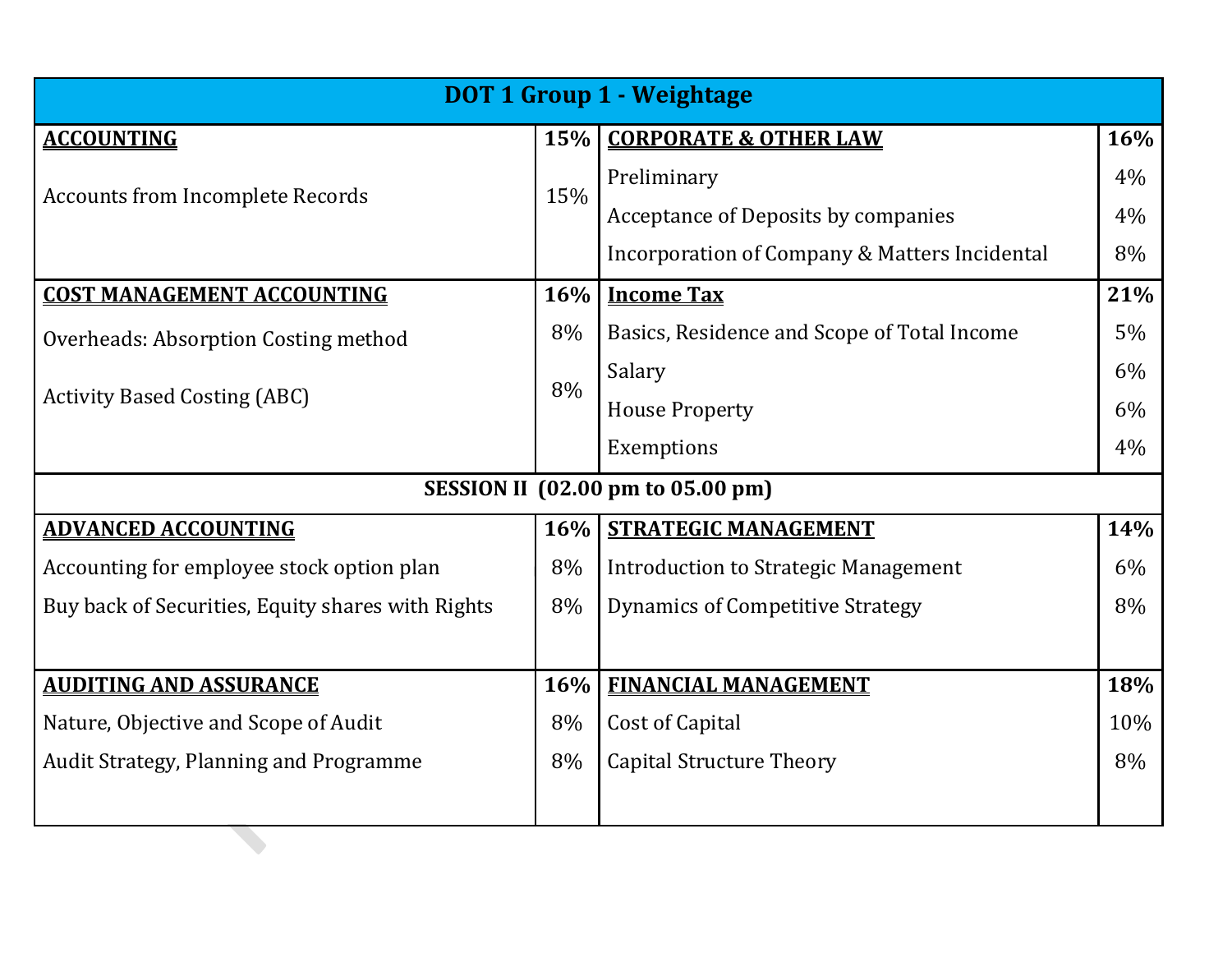| <b>DOT 1 Group 1 - Weightage</b>                  |            |                                               |     |  |  |
|---------------------------------------------------|------------|-----------------------------------------------|-----|--|--|
| <b>ACCOUNTING</b>                                 | <b>15%</b> | <b>CORPORATE &amp; OTHER LAW</b>              | 16% |  |  |
| <b>Accounts from Incomplete Records</b>           | 15%        | Preliminary                                   | 4%  |  |  |
|                                                   |            | Acceptance of Deposits by companies           | 4%  |  |  |
|                                                   |            | Incorporation of Company & Matters Incidental | 8%  |  |  |
| <b>COST MANAGEMENT ACCOUNTING</b>                 | 16%        | <b>Income Tax</b>                             | 21% |  |  |
| Overheads: Absorption Costing method              | 8%         | Basics, Residence and Scope of Total Income   | 5%  |  |  |
|                                                   | 8%         | Salary                                        | 6%  |  |  |
| <b>Activity Based Costing (ABC)</b>               |            | <b>House Property</b>                         | 6%  |  |  |
|                                                   |            | Exemptions                                    | 4%  |  |  |
|                                                   |            | SESSION II (02.00 pm to 05.00 pm)             |     |  |  |
| <b>ADVANCED ACCOUNTING</b>                        | 16%        | <b>STRATEGIC MANAGEMENT</b>                   | 14% |  |  |
| Accounting for employee stock option plan         | 8%         | <b>Introduction to Strategic Management</b>   | 6%  |  |  |
| Buy back of Securities, Equity shares with Rights | 8%         | <b>Dynamics of Competitive Strategy</b>       | 8%  |  |  |
|                                                   |            |                                               |     |  |  |
| <b>AUDITING AND ASSURANCE</b>                     | 16%        | <b>FINANCIAL MANAGEMENT</b>                   | 18% |  |  |
| Nature, Objective and Scope of Audit              | 8%         | Cost of Capital                               | 10% |  |  |
| Audit Strategy, Planning and Programme            |            | <b>Capital Structure Theory</b>               | 8%  |  |  |
|                                                   |            |                                               |     |  |  |
|                                                   |            |                                               |     |  |  |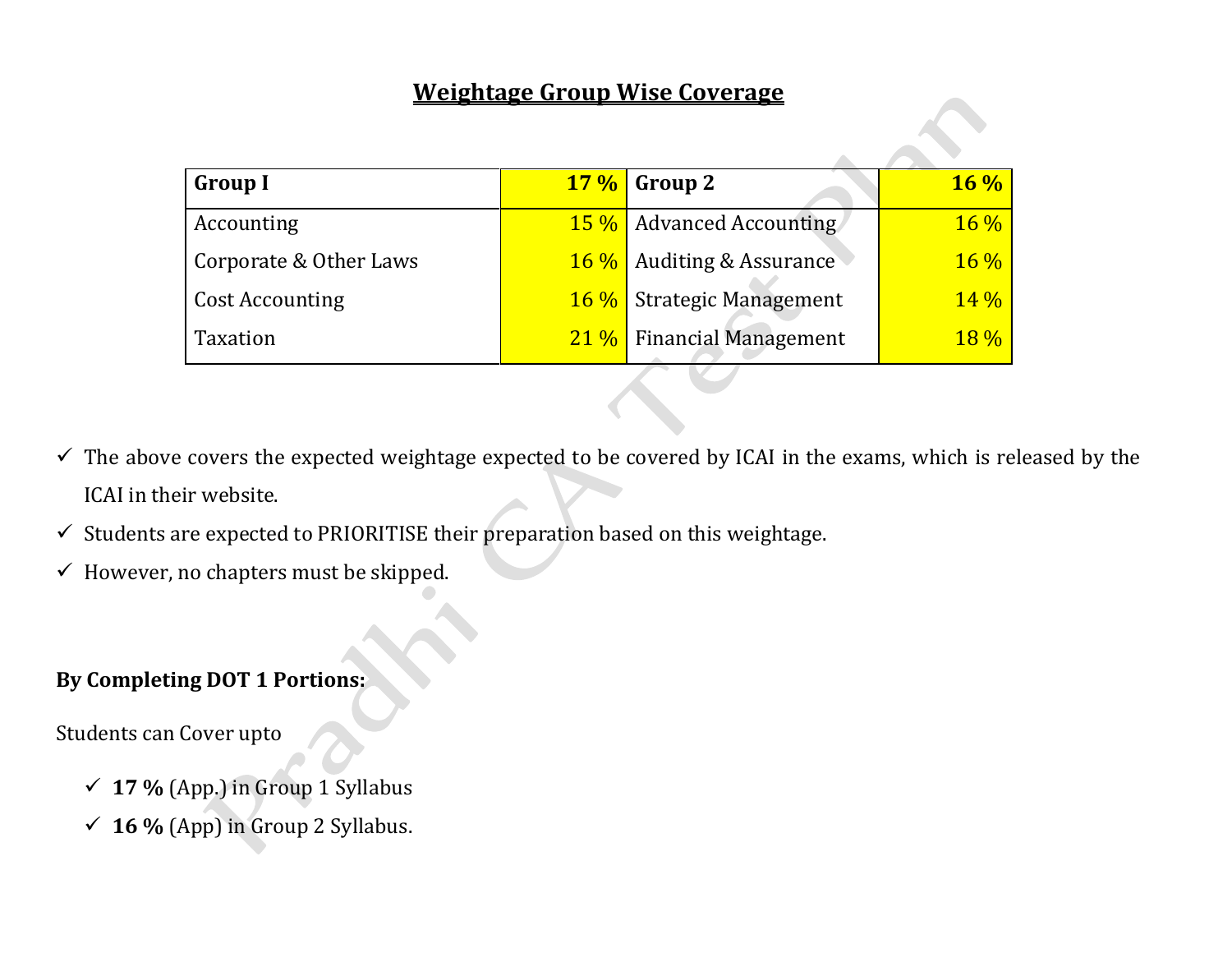#### **Weightage Group Wise Coverage**

| <b>Group I</b>         | $17\%$ Group 2                   | $16\%$ |
|------------------------|----------------------------------|--------|
| Accounting             | <b>15 %</b> Advanced Accounting  | $16\%$ |
| Corporate & Other Laws | <b>16 %</b> Auditing & Assurance | $16\%$ |
| <b>Cost Accounting</b> | <b>16%</b> Strategic Management  | 14%    |
| Taxation               | 21 % Financial Management        | $18\%$ |

- $\checkmark$  The above covers the expected weightage expected to be covered by ICAI in the exams, which is released by the ICAI in their website.
- $\checkmark$  Students are expected to PRIORITISE their preparation based on this weightage.
- $\checkmark$  However, no chapters must be skipped.

#### **By Completing DOT 1 Portions:**

Students can Cover upto

- ✓ **17 %** (App.) in Group 1 Syllabus
- ✓ **16 %** (App) in Group 2 Syllabus.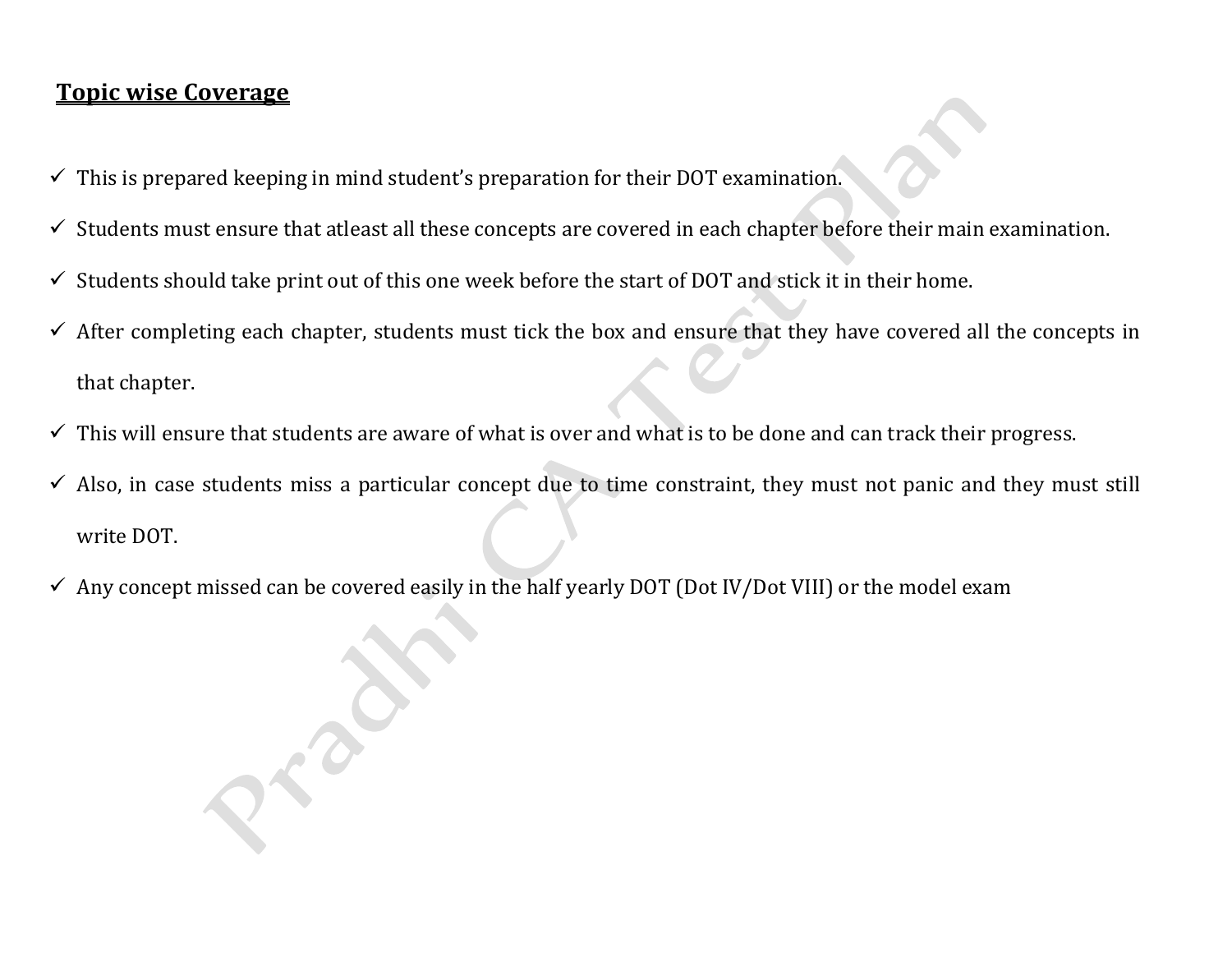#### **Topic wise Coverage**

- $\checkmark$  This is prepared keeping in mind student's preparation for their DOT examination.
- $\checkmark$  Students must ensure that atleast all these concepts are covered in each chapter before their main examination.
- $\checkmark$  Students should take print out of this one week before the start of DOT and stick it in their home.
- ✓ After completing each chapter, students must tick the box and ensure that they have covered all the concepts in that chapter.
- $\checkmark$  This will ensure that students are aware of what is over and what is to be done and can track their progress.
- $\checkmark$  Also, in case students miss a particular concept due to time constraint, they must not panic and they must still write DOT.
- $\checkmark$  Any concept missed can be covered easily in the half yearly DOT (Dot IV/Dot VIII) or the model exam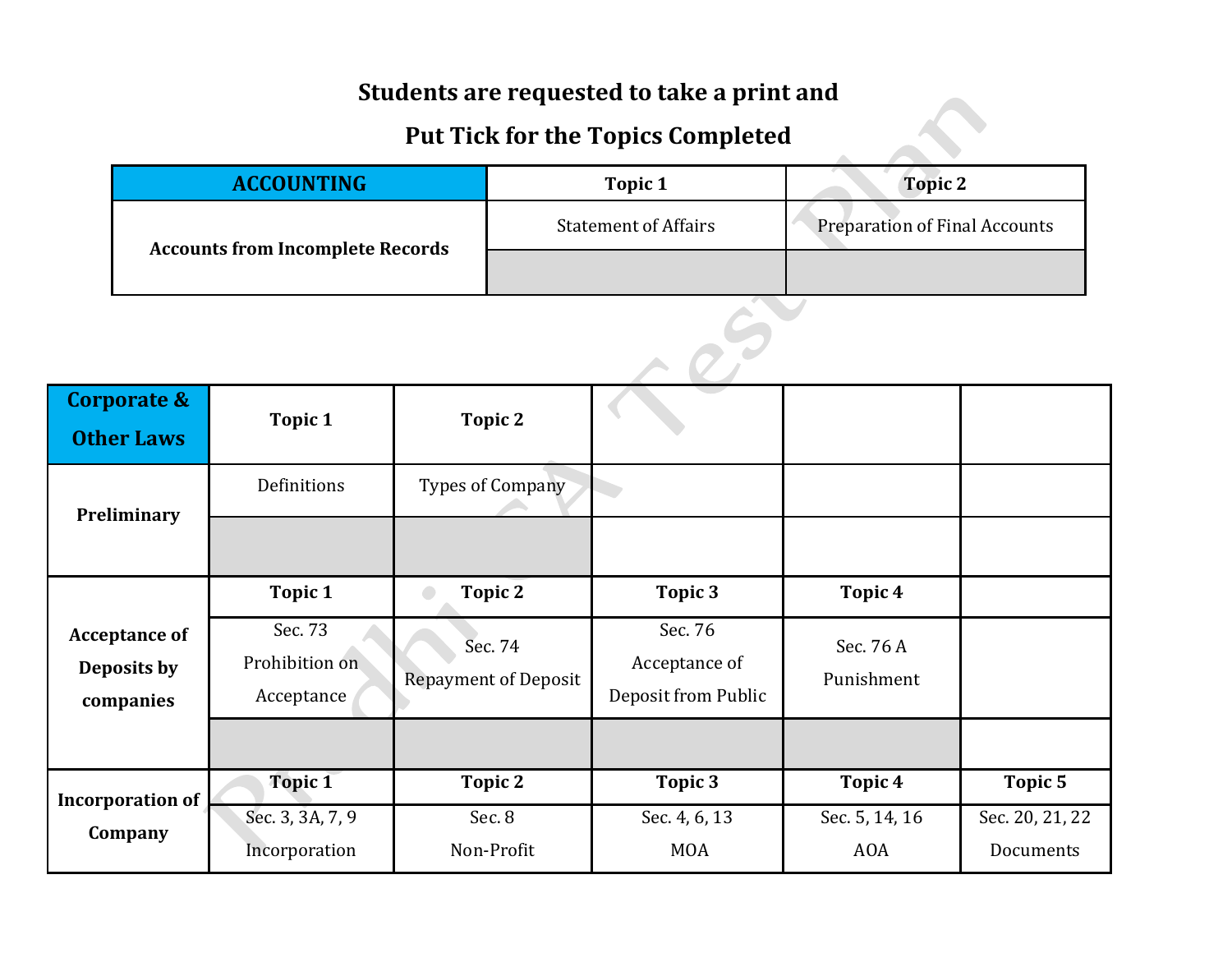#### **Students are requested to take a print and**

### **Put Tick for the Topics Completed**

|                                         | $\sim$ we receive the representation. |                                      |
|-----------------------------------------|---------------------------------------|--------------------------------------|
| <b>ACCOUNTING</b>                       | Topic 1                               | <b>Topic 2</b>                       |
| <b>Accounts from Incomplete Records</b> | <b>Statement of Affairs</b>           | <b>Preparation of Final Accounts</b> |
|                                         |                                       |                                      |
|                                         |                                       |                                      |

| <b>Corporate &amp;</b><br><b>Other Laws</b> | Topic 1                                            | Topic 2                                                         |                                                            |                                               |                              |  |
|---------------------------------------------|----------------------------------------------------|-----------------------------------------------------------------|------------------------------------------------------------|-----------------------------------------------|------------------------------|--|
| Preliminary                                 | Definitions                                        | <b>Types of Company</b>                                         |                                                            |                                               |                              |  |
| <b>Acceptance of</b><br>Deposits by         | Topic 1<br>Sec. 73<br>Prohibition on<br>Acceptance | Topic 2<br>$\bigcirc$<br>Sec. 74<br><b>Repayment of Deposit</b> | Topic 3<br>Sec. 76<br>Acceptance of<br>Deposit from Public | Topic <sub>4</sub><br>Sec. 76 A<br>Punishment |                              |  |
| companies                                   | <b>Topic 1</b>                                     | <b>Topic 2</b>                                                  | Topic 3                                                    | Topic <sub>4</sub>                            | <b>Topic 5</b>               |  |
| <b>Incorporation of</b><br>Company          | Sec. 3, 3A, 7, 9<br>Incorporation                  | Sec. 8<br>Non-Profit                                            | Sec. 4, 6, 13<br><b>MOA</b>                                | Sec. 5, 14, 16<br><b>AOA</b>                  | Sec. 20, 21, 22<br>Documents |  |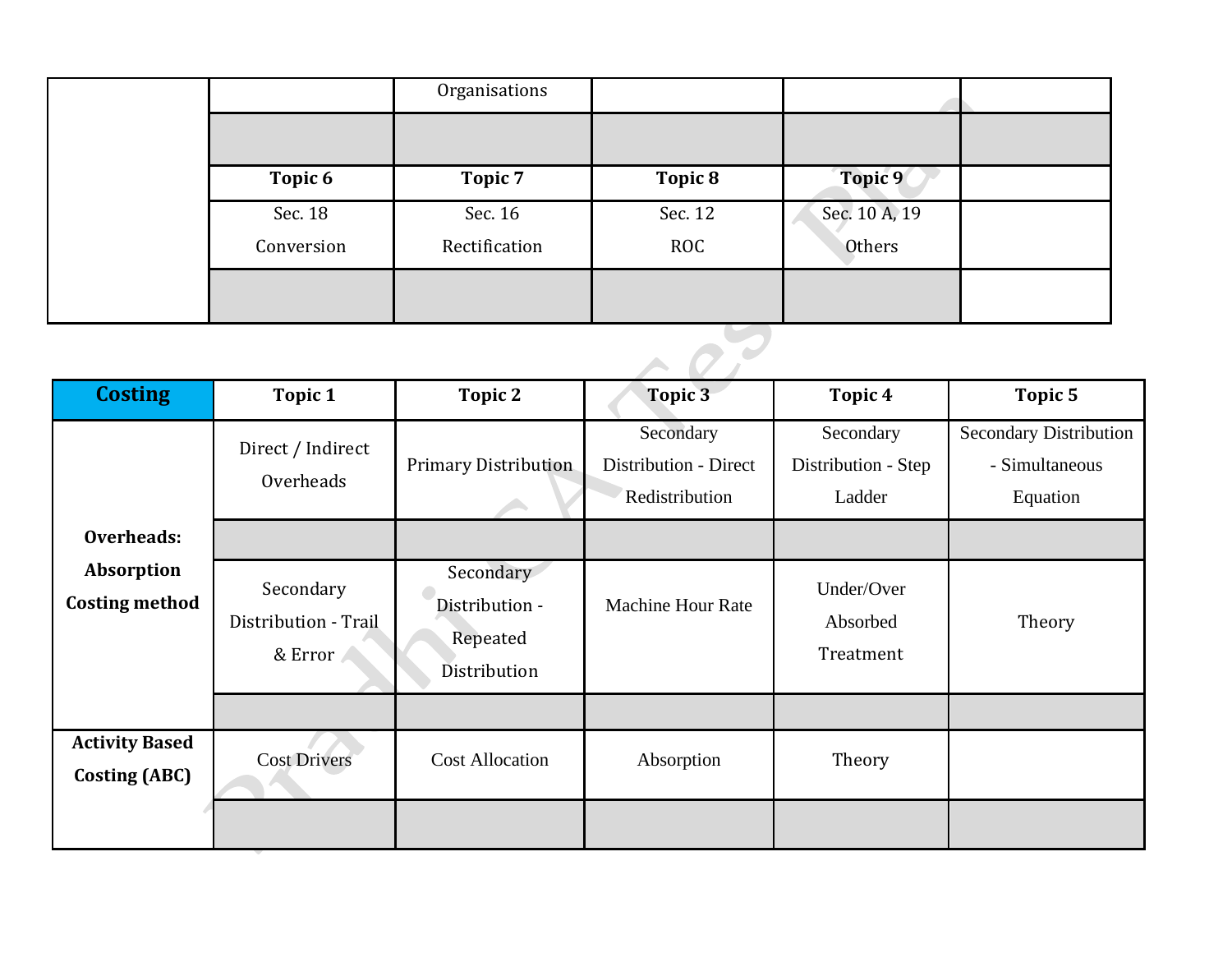|                    | Organisations |            |               |  |
|--------------------|---------------|------------|---------------|--|
|                    |               |            |               |  |
| Topic <sub>6</sub> | Topic 7       | Topic 8    | Topic 9       |  |
| Sec. 18            | Sec. 16       | Sec. 12    | Sec. 10 A, 19 |  |
| Conversion         | Rectification | <b>ROC</b> | Others        |  |
|                    |               |            |               |  |
|                    |               |            |               |  |

| <b>Costing</b>                                                                      | Topic 1                                                 | Topic 2                     | <b>Topic 3</b>                                       | Topic <sub>4</sub>                         | Topic 5                                                     |
|-------------------------------------------------------------------------------------|---------------------------------------------------------|-----------------------------|------------------------------------------------------|--------------------------------------------|-------------------------------------------------------------|
|                                                                                     | Direct / Indirect<br>Overheads                          | <b>Primary Distribution</b> | Secondary<br>Distribution - Direct<br>Redistribution | Secondary<br>Distribution - Step<br>Ladder | <b>Secondary Distribution</b><br>- Simultaneous<br>Equation |
| Overheads:                                                                          |                                                         |                             |                                                      |                                            |                                                             |
| Absorption<br>Secondary<br><b>Costing method</b><br>Distribution - Trail<br>& Error | Secondary<br>Distribution -<br>Repeated<br>Distribution | <b>Machine Hour Rate</b>    | Under/Over<br>Absorbed<br>Treatment                  | Theory                                     |                                                             |
|                                                                                     |                                                         |                             |                                                      |                                            |                                                             |
| <b>Activity Based</b><br><b>Costing (ABC)</b>                                       | <b>Cost Drivers</b>                                     | <b>Cost Allocation</b>      | Absorption                                           | Theory                                     |                                                             |
|                                                                                     |                                                         |                             |                                                      |                                            |                                                             |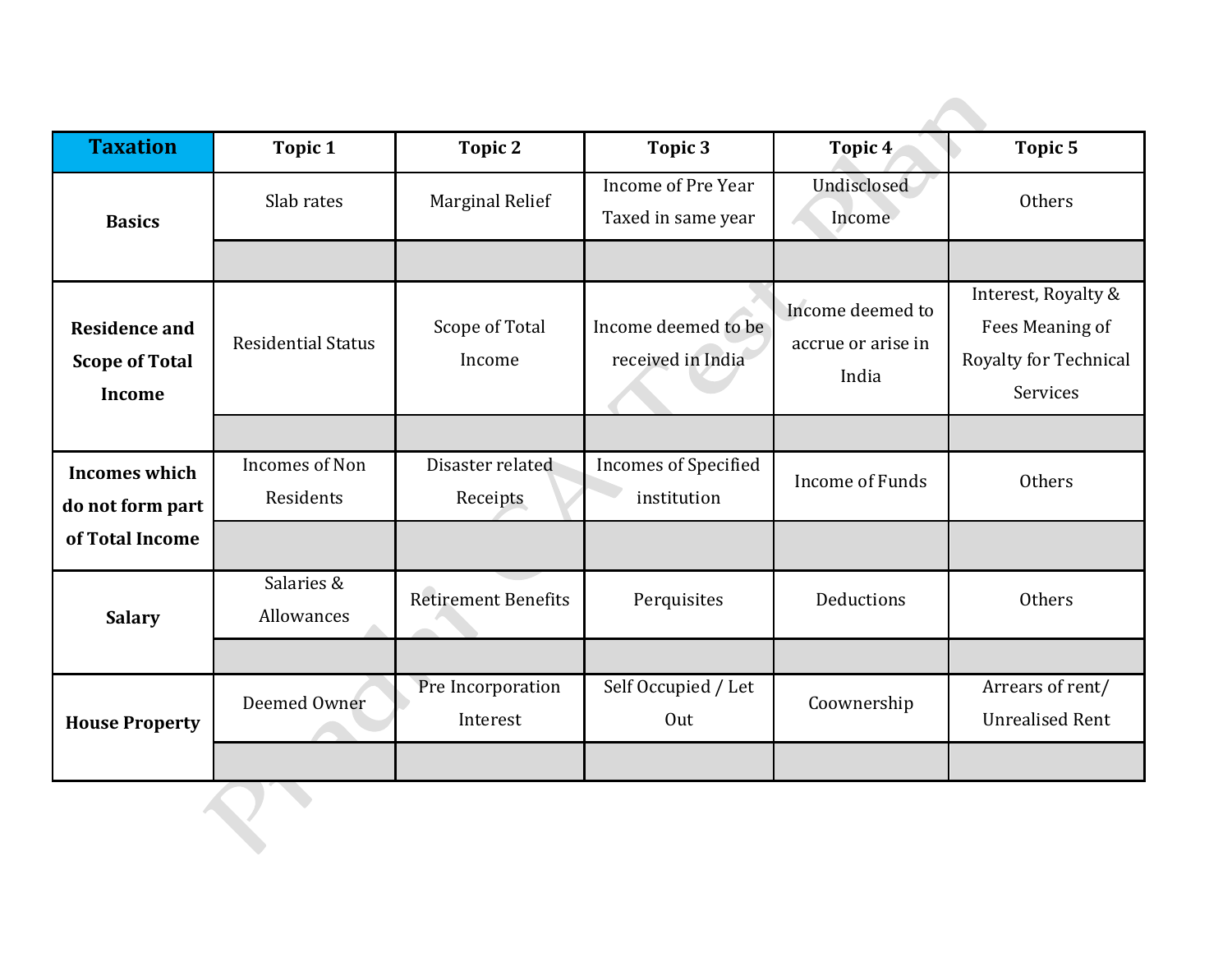| <b>Taxation</b>                                                | <b>Topic 1</b>                     | <b>Topic 2</b>                | Topic 3                                    | Topic <sub>4</sub>                              | Topic 5                                                                            |
|----------------------------------------------------------------|------------------------------------|-------------------------------|--------------------------------------------|-------------------------------------------------|------------------------------------------------------------------------------------|
| <b>Basics</b>                                                  | Slab rates                         | <b>Marginal Relief</b>        | Income of Pre Year<br>Taxed in same year   | Undisclosed<br>Income                           | Others                                                                             |
|                                                                |                                    |                               |                                            |                                                 |                                                                                    |
| <b>Residence and</b><br><b>Scope of Total</b><br><b>Income</b> | <b>Residential Status</b>          | Scope of Total<br>Income      | Income deemed to be<br>received in India   | Income deemed to<br>accrue or arise in<br>India | Interest, Royalty &<br>Fees Meaning of<br><b>Royalty for Technical</b><br>Services |
|                                                                |                                    |                               |                                            |                                                 |                                                                                    |
| <b>Incomes which</b><br>do not form part                       | <b>Incomes of Non</b><br>Residents | Disaster related<br>Receipts  | <b>Incomes of Specified</b><br>institution | <b>Income of Funds</b>                          | Others                                                                             |
| of Total Income                                                |                                    |                               |                                            |                                                 |                                                                                    |
| <b>Salary</b>                                                  | Salaries &<br>Allowances           | <b>Retirement Benefits</b>    | Perquisites                                | Deductions                                      | Others                                                                             |
|                                                                |                                    |                               |                                            |                                                 |                                                                                    |
| <b>House Property</b>                                          | Deemed Owner                       | Pre Incorporation<br>Interest | Self Occupied / Let<br>Out                 | Coownership                                     | Arrears of rent/<br><b>Unrealised Rent</b>                                         |
|                                                                |                                    |                               |                                            |                                                 |                                                                                    |
|                                                                |                                    |                               |                                            |                                                 |                                                                                    |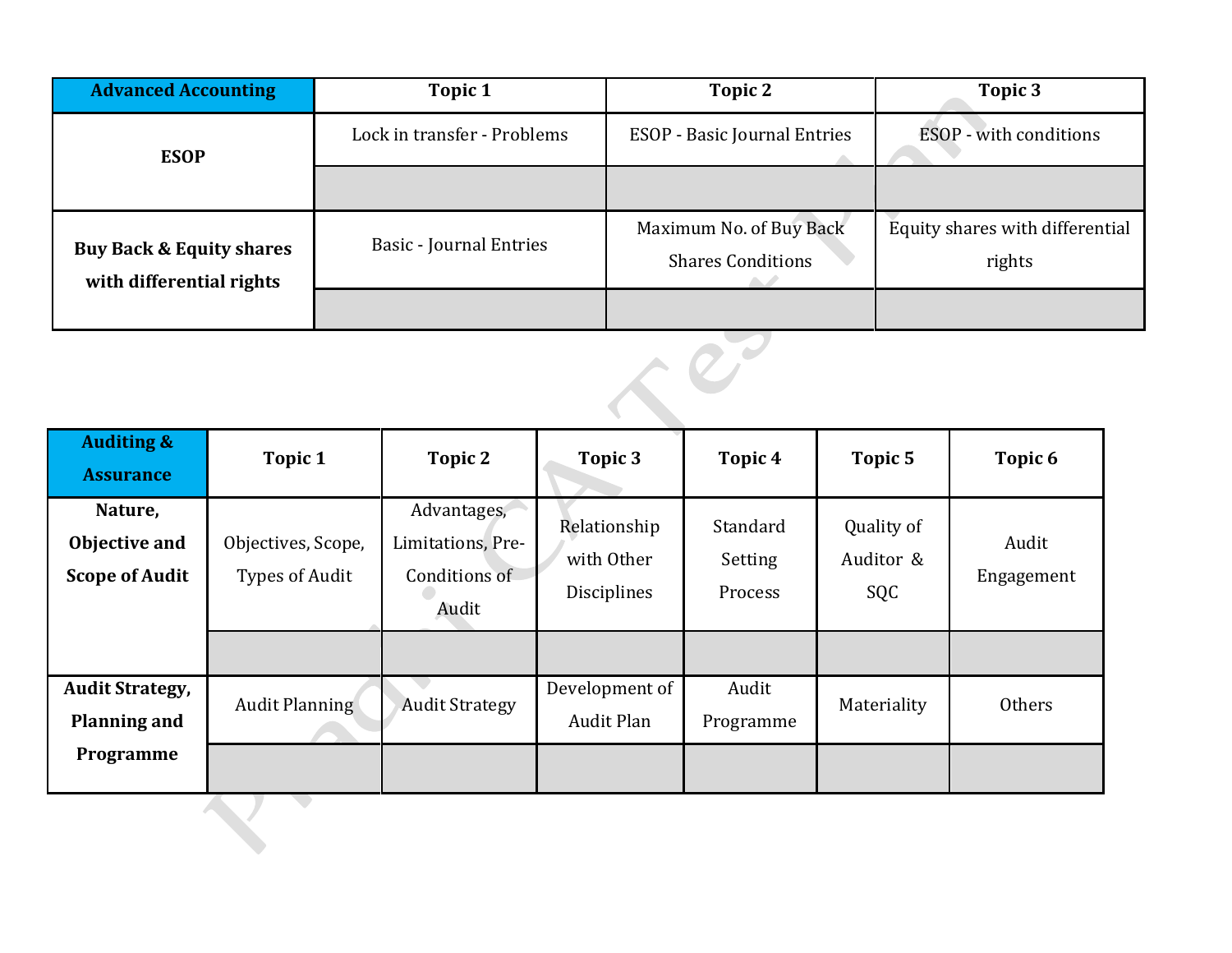| <b>Advanced Accounting</b><br>Topic 1                           |                                | Topic 2                                             | Topic 3                                   |  |
|-----------------------------------------------------------------|--------------------------------|-----------------------------------------------------|-------------------------------------------|--|
| <b>ESOP</b>                                                     | Lock in transfer - Problems    | <b>ESOP</b> - Basic Journal Entries                 | <b>ESOP</b> - with conditions             |  |
|                                                                 |                                |                                                     |                                           |  |
| <b>Buy Back &amp; Equity shares</b><br>with differential rights | <b>Basic - Journal Entries</b> | Maximum No. of Buy Back<br><b>Shares Conditions</b> | Equity shares with differential<br>rights |  |
|                                                                 |                                |                                                     |                                           |  |

| <b>Auditing &amp;</b><br><b>Assurance</b>         | Topic 1                              | Topic 2                                                    | Topic 3                                   | Topic <sub>4</sub>             | Topic 5                        | Topic <sub>6</sub>  |  |
|---------------------------------------------------|--------------------------------------|------------------------------------------------------------|-------------------------------------------|--------------------------------|--------------------------------|---------------------|--|
| Nature,<br>Objective and<br><b>Scope of Audit</b> | Objectives, Scope,<br>Types of Audit | Advantages,<br>Limitations, Pre-<br>Conditions of<br>Audit | Relationship<br>with Other<br>Disciplines | Standard<br>Setting<br>Process | Quality of<br>Auditor &<br>SQC | Audit<br>Engagement |  |
|                                                   |                                      |                                                            |                                           |                                |                                |                     |  |
| <b>Audit Strategy,</b><br><b>Planning and</b>     | <b>Audit Planning</b>                | <b>Audit Strategy</b>                                      | Development of<br><b>Audit Plan</b>       | Audit<br>Programme             | Materiality                    | Others              |  |
| Programme                                         |                                      |                                                            |                                           |                                |                                |                     |  |
|                                                   |                                      |                                                            |                                           |                                |                                |                     |  |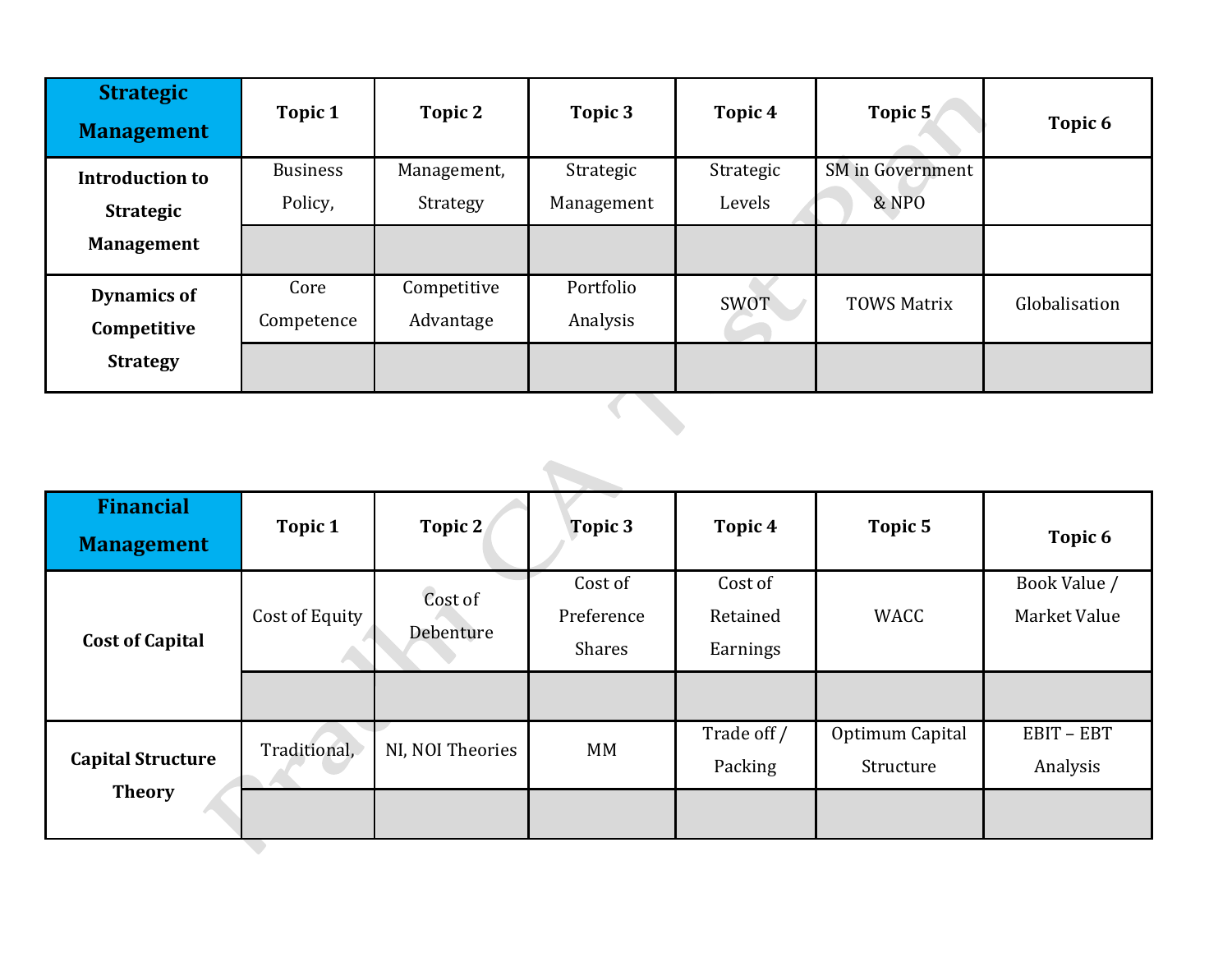| <b>Strategic</b><br><b>Management</b> | Topic 1         | Topic 2     | Topic 3    | Topic 4     | Topic 5                 | Topic 6       |
|---------------------------------------|-----------------|-------------|------------|-------------|-------------------------|---------------|
| <b>Introduction to</b>                | <b>Business</b> | Management, | Strategic  | Strategic   | <b>SM</b> in Government |               |
| <b>Strategic</b>                      | Policy,         | Strategy    | Management | Levels      | & NPO                   |               |
| <b>Management</b>                     |                 |             |            |             |                         |               |
| <b>Dynamics of</b>                    | Core            | Competitive | Portfolio  | <b>SWOT</b> | <b>TOWS Matrix</b>      | Globalisation |
| Competitive                           | Competence      | Advantage   | Analysis   |             |                         |               |
| <b>Strategy</b>                       |                 |             |            |             |                         |               |

| <b>Financial</b><br><b>Management</b>     | Topic 1        | Topic 2              | Topic 3                                | Topic 4                         | Topic 5                      | Topic 6                      |  |
|-------------------------------------------|----------------|----------------------|----------------------------------------|---------------------------------|------------------------------|------------------------------|--|
| <b>Cost of Capital</b>                    | Cost of Equity | Cost of<br>Debenture | Cost of<br>Preference<br><b>Shares</b> | Cost of<br>Retained<br>Earnings | <b>WACC</b>                  | Book Value /<br>Market Value |  |
| <b>Capital Structure</b><br><b>Theory</b> | Traditional,   | NI, NOI Theories     | MM                                     | Trade off /<br>Packing          | Optimum Capital<br>Structure | EBIT-EBT<br>Analysis         |  |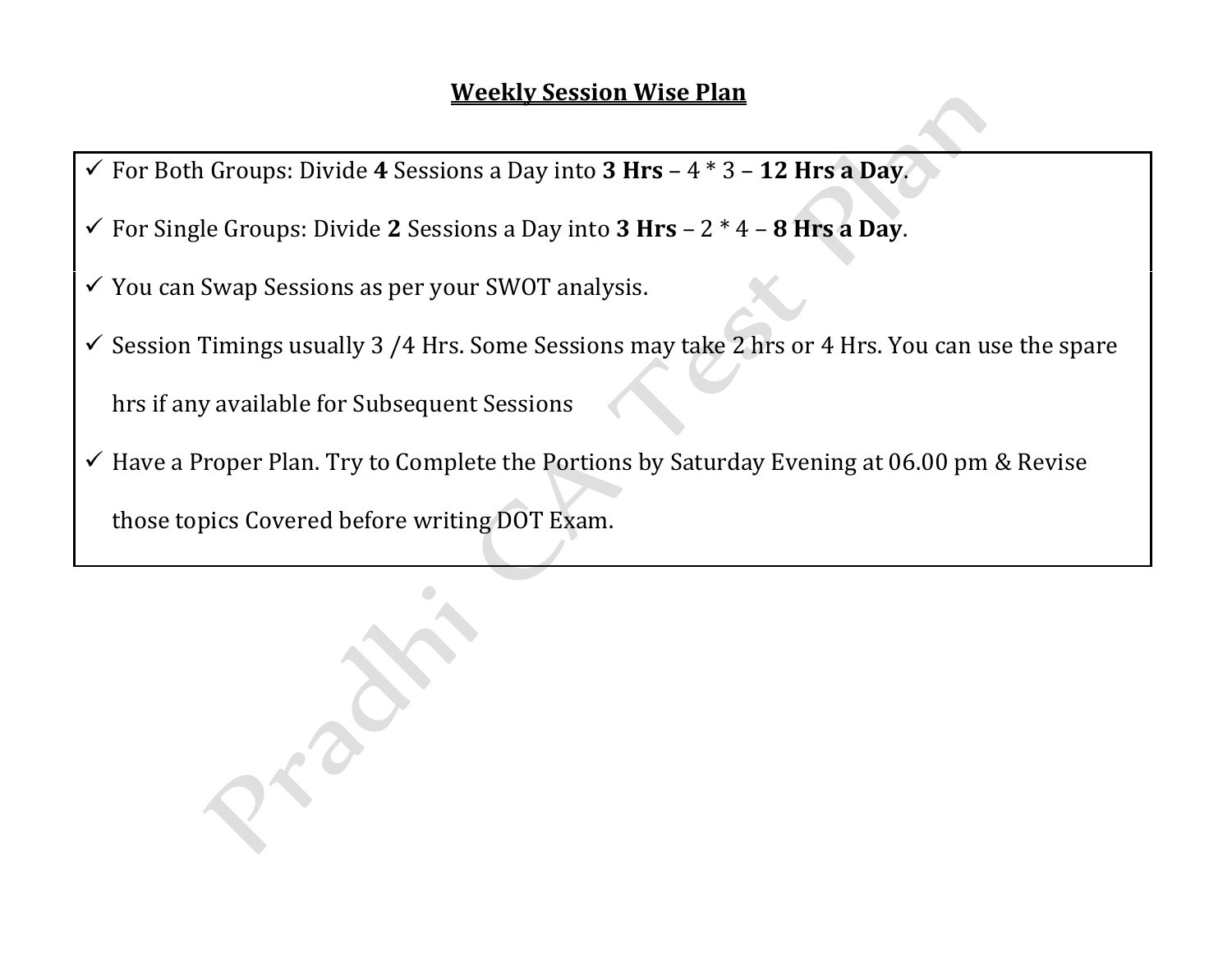- ✓ For Both Groups: Divide **4** Sessions a Day into **3 Hrs** 4 \* 3 **12 Hrs a Day**.
- ✓ For Single Groups: Divide **2** Sessions a Day into **3 Hrs** 2 \* 4 **8 Hrs a Day**.
- ✓ You can Swap Sessions as per your SWOT analysis.
- ✓ Session Timings usually 3 /4 Hrs. Some Sessions may take 2 hrs or 4 Hrs. You can use the spare hrs if any available for Subsequent Sessions
- ✓ Have a Proper Plan. Try to Complete the Portions by Saturday Evening at 06.00 pm & Revise those topics Covered before writing DOT Exam.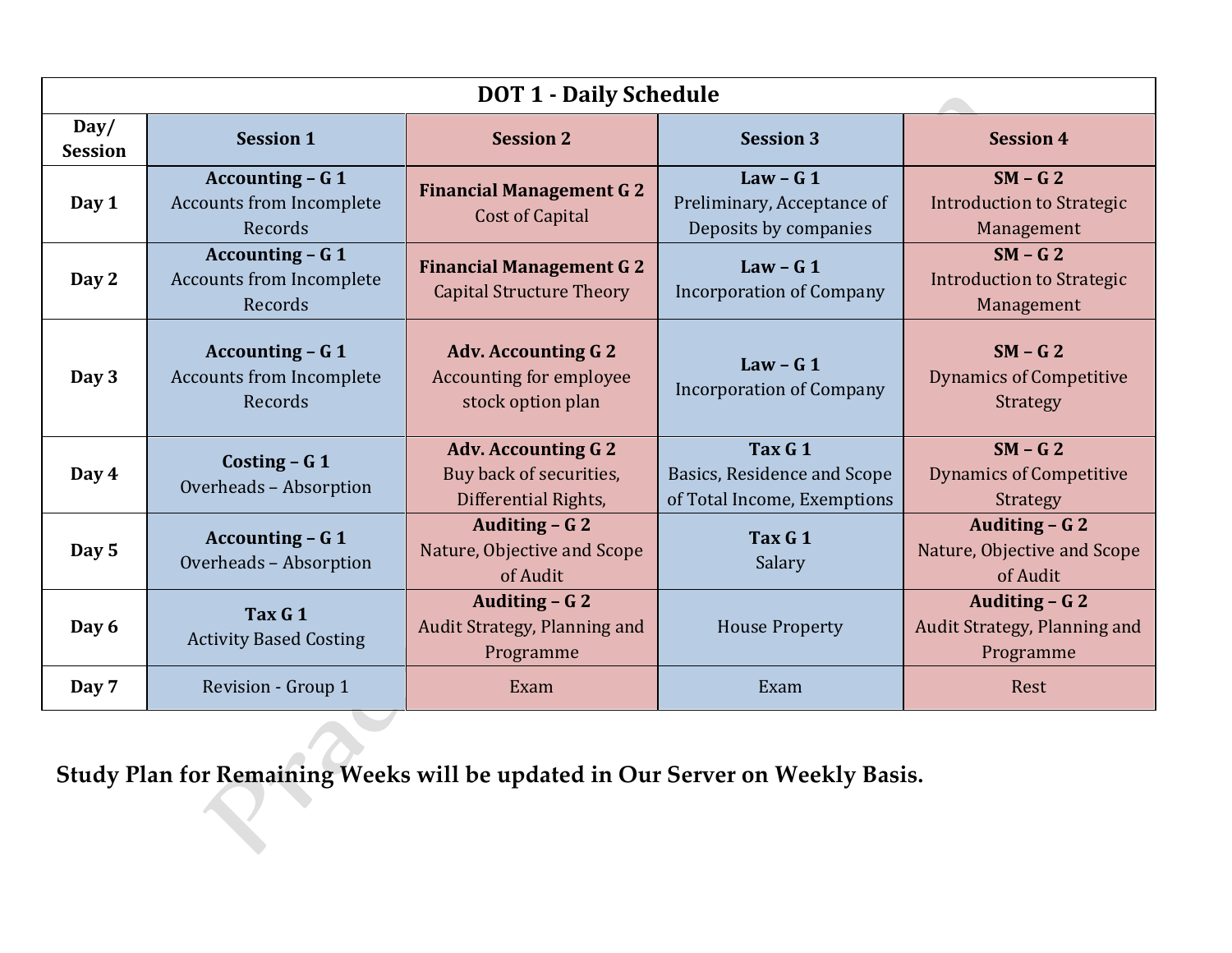| <b>DOT 1 - Daily Schedule</b> |                                                                       |                                                                                   |                                                                       |                                                                |  |  |
|-------------------------------|-----------------------------------------------------------------------|-----------------------------------------------------------------------------------|-----------------------------------------------------------------------|----------------------------------------------------------------|--|--|
| Day/<br><b>Session</b>        | <b>Session 1</b>                                                      | <b>Session 2</b>                                                                  | <b>Session 3</b>                                                      | <b>Session 4</b>                                               |  |  |
| Day 1                         | <b>Accounting - G 1</b><br><b>Accounts from Incomplete</b><br>Records | <b>Financial Management G 2</b><br><b>Cost of Capital</b>                         | Law - $G_1$<br>Preliminary, Acceptance of<br>Deposits by companies    | $SM - G2$<br>Introduction to Strategic<br>Management           |  |  |
| Day 2                         | <b>Accounting - G 1</b><br><b>Accounts from Incomplete</b><br>Records | <b>Financial Management G 2</b><br><b>Capital Structure Theory</b>                | Law - $G_1$<br><b>Incorporation of Company</b>                        | $SM - G2$<br><b>Introduction to Strategic</b><br>Management    |  |  |
| Day 3                         | <b>Accounting - G 1</b><br><b>Accounts from Incomplete</b><br>Records | <b>Adv. Accounting G 2</b><br><b>Accounting for employee</b><br>stock option plan | Law - $G_1$<br><b>Incorporation of Company</b>                        | $SM - G2$<br><b>Dynamics of Competitive</b><br><b>Strategy</b> |  |  |
| Day 4                         | Costing $- G 1$<br>Overheads - Absorption                             | <b>Adv. Accounting G 2</b><br>Buy back of securities,<br>Differential Rights,     | Tax G 1<br>Basics, Residence and Scope<br>of Total Income, Exemptions | $SM - G2$<br><b>Dynamics of Competitive</b><br><b>Strategy</b> |  |  |
| Day 5                         | <b>Accounting - G 1</b><br>Overheads - Absorption                     | Auditing - G 2<br>Nature, Objective and Scope<br>of Audit                         | Tax G 1<br>Salary                                                     | Auditing - G 2<br>Nature, Objective and Scope<br>of Audit      |  |  |
| Day 6                         | Tax G 1<br><b>Activity Based Costing</b>                              | Auditing – G 2<br>Audit Strategy, Planning and<br>Programme                       | <b>House Property</b>                                                 | Auditing – G 2<br>Audit Strategy, Planning and<br>Programme    |  |  |
| Day 7                         | Revision - Group 1                                                    | Exam                                                                              | Exam                                                                  | Rest                                                           |  |  |

**Study Plan for Remaining Weeks will be updated in Our Server on Weekly Basis.**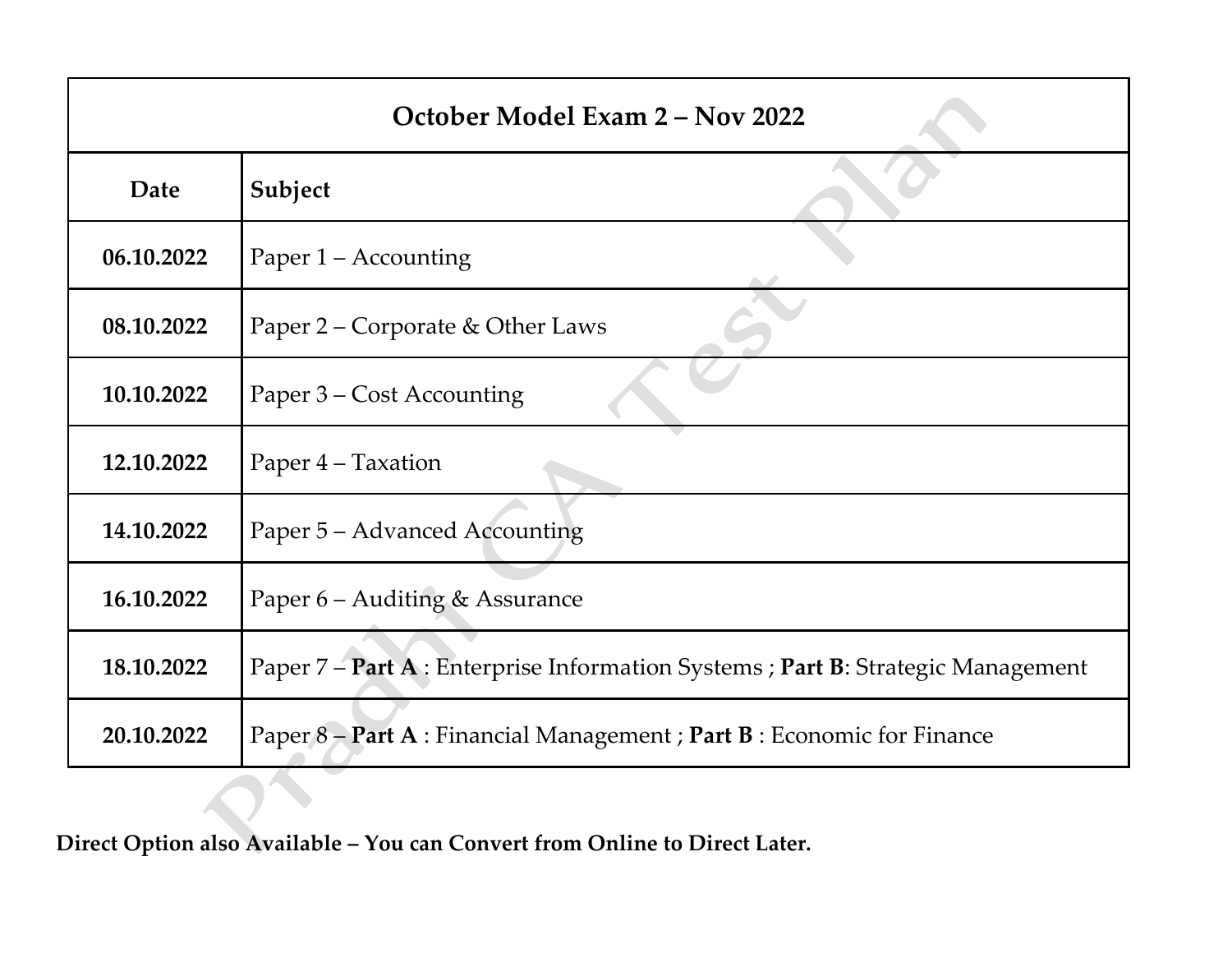| October Model Exam 2 - Nov 2022 |                                                                                  |  |  |  |
|---------------------------------|----------------------------------------------------------------------------------|--|--|--|
| Date                            | Subject                                                                          |  |  |  |
| 06.10.2022                      | Paper 1 – Accounting                                                             |  |  |  |
| 08.10.2022                      | Paper 2 – Corporate & Other Laws                                                 |  |  |  |
| 10.10.2022                      | Paper 3 – Cost Accounting                                                        |  |  |  |
| 12.10.2022                      | Paper 4 – Taxation                                                               |  |  |  |
| 14.10.2022                      | Paper 5 – Advanced Accounting                                                    |  |  |  |
| 16.10.2022                      | Paper 6 – Auditing & Assurance                                                   |  |  |  |
| 18.10.2022                      | Paper 7 – Part A : Enterprise Information Systems ; Part B: Strategic Management |  |  |  |
| 20.10.2022                      | Paper 8 - Part A : Financial Management ; Part B : Economic for Finance          |  |  |  |

**Direct Option also Available – You can Convert from Online to Direct Later.**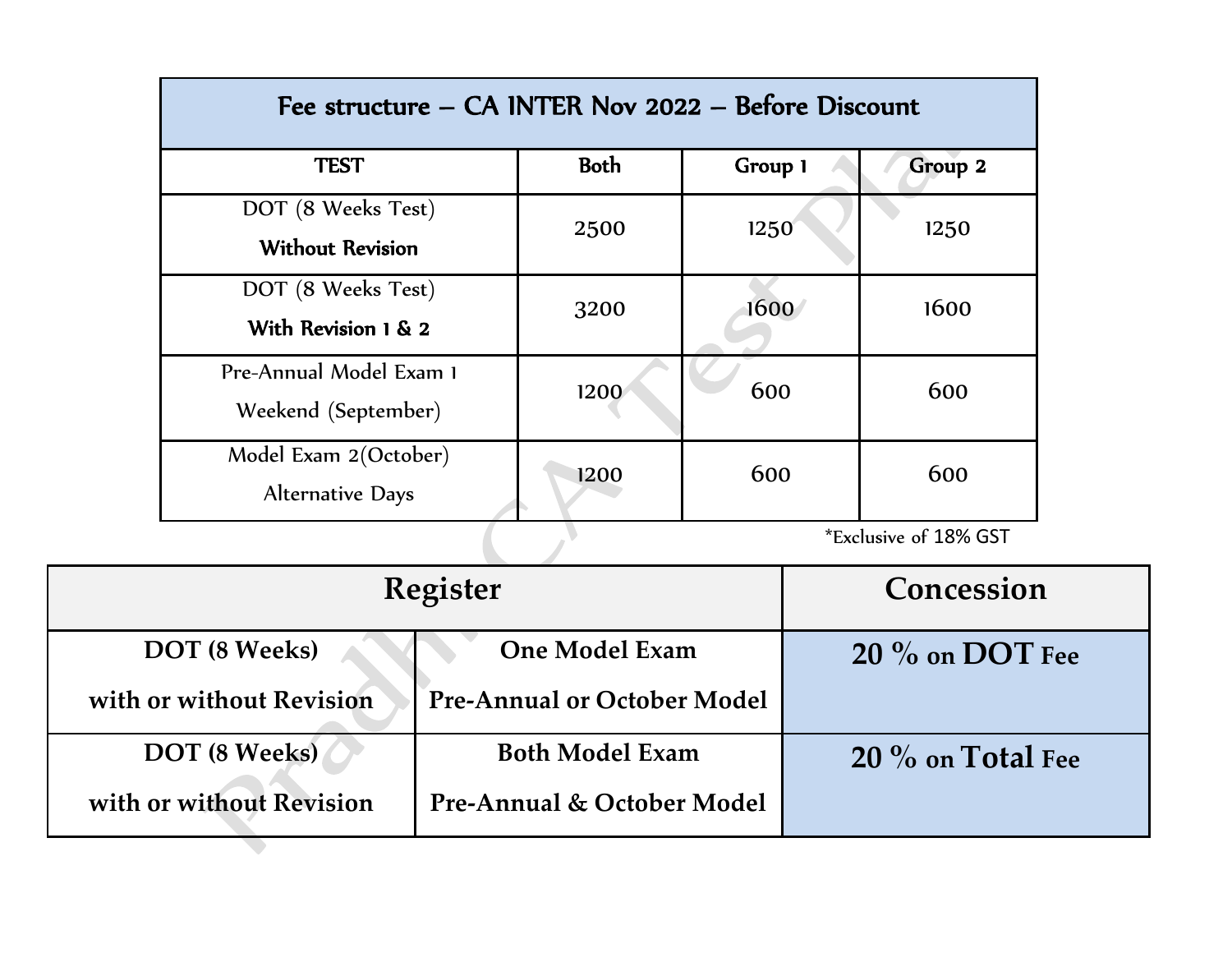| Fee structure – CA INTER Nov 2022 – Before Discount |             |         |         |  |  |
|-----------------------------------------------------|-------------|---------|---------|--|--|
| <b>TEST</b>                                         | <b>Both</b> | Group 1 | Group 2 |  |  |
| DOT (8 Weeks Test)<br><b>Without Revision</b>       | 2500        | 1250    | 1250    |  |  |
| DOT (8 Weeks Test)<br>With Revision 1 & 2           | 3200        | 1600    | 1600    |  |  |
| Pre-Annual Model Exam 1<br>Weekend (September)      | 1200        | 600     | 600     |  |  |
| Model Exam 2(October)<br><b>Alternative Days</b>    | 1200        | 600     | 600     |  |  |
| *Exclusive of 18% GST                               |             |         |         |  |  |

| <b>Register</b>          |                                    | Concession          |
|--------------------------|------------------------------------|---------------------|
| DOT (8 Weeks)            | <b>One Model Exam</b>              | $20\%$ on DOT Fee   |
| with or without Revision | <b>Pre-Annual or October Model</b> |                     |
| DOT (8 Weeks)            | <b>Both Model Exam</b>             | $20\%$ on Total Fee |
| with or without Revision | Pre-Annual & October Model         |                     |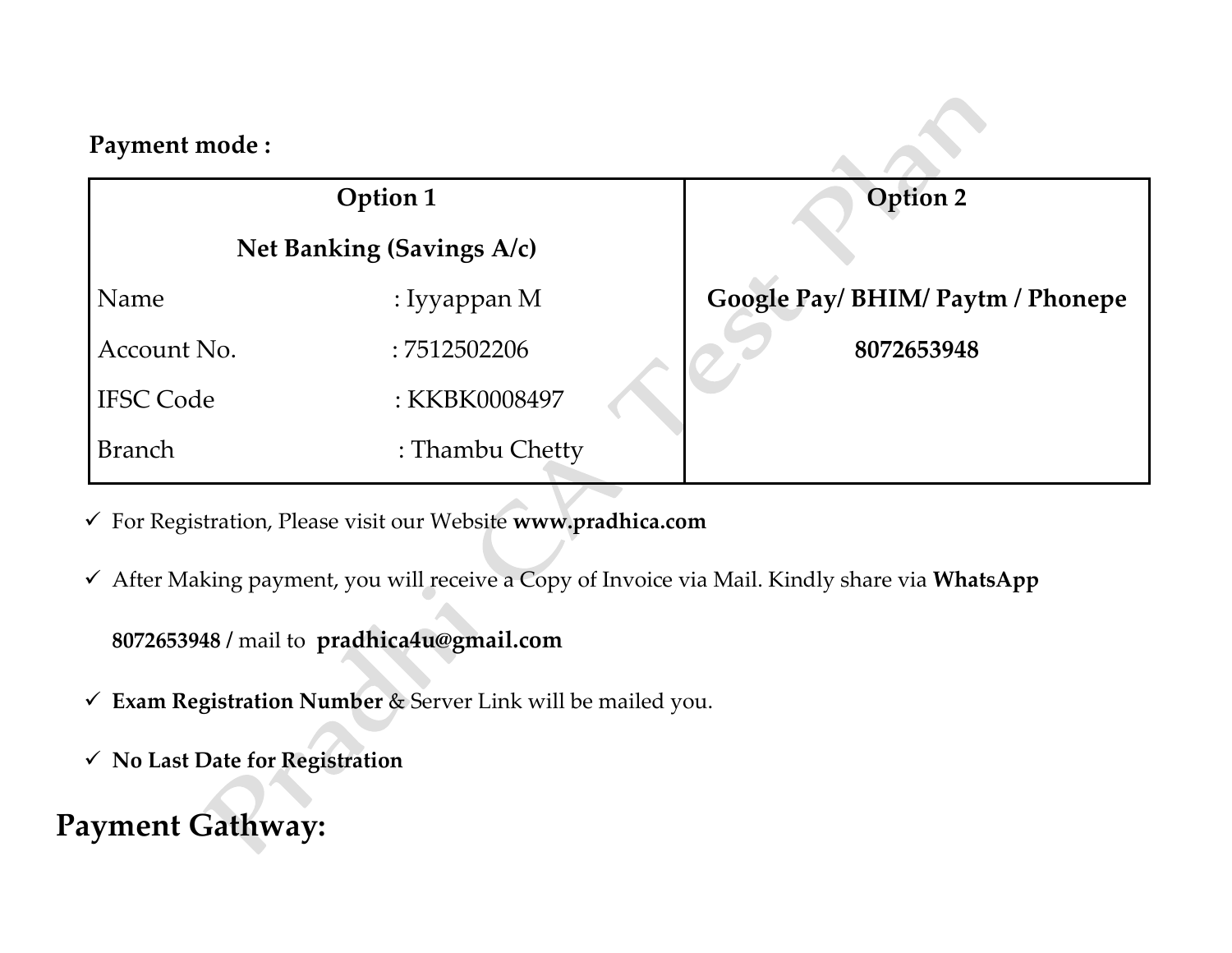| Payment mode:    |                           |                                   |  |
|------------------|---------------------------|-----------------------------------|--|
|                  | Option 1                  | Option 2                          |  |
|                  | Net Banking (Savings A/c) |                                   |  |
| Name             | : Iyyappan M              | Google Pay/ BHIM/ Paytm / Phonepe |  |
| Account No.      | :7512502206               | 8072653948                        |  |
| <b>IFSC Code</b> | : KKBK0008497             |                                   |  |
| <b>Branch</b>    | : Thambu Chetty           |                                   |  |

✓ For Registration, Please visit our Website **www.pradhica.com**

✓ After Making payment, you will receive a Copy of Invoice via Mail. Kindly share via **WhatsApp** 

**8072653948 /** mail to **pradhica4u@gmail.com**

- ✓ **Exam Registration Number** & Server Link will be mailed you.
- ✓ **No Last Date for Registration**

### **Payment Gathway:**